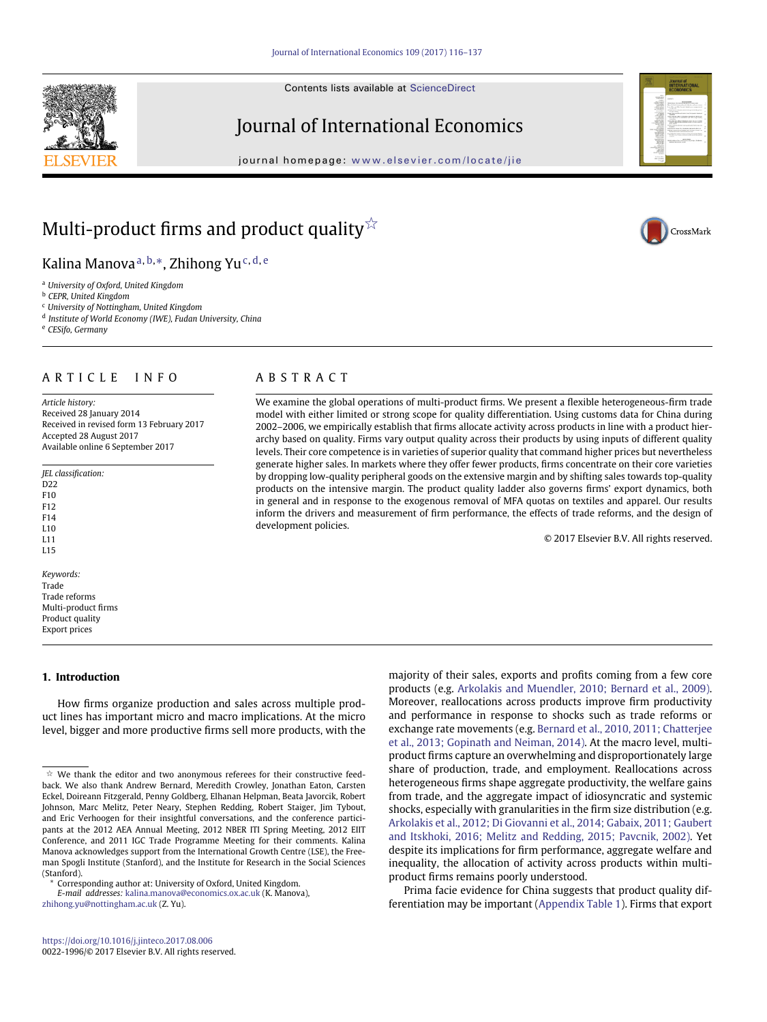Contents lists available at [ScienceDirect](http://www.ScienceDirect.com/)

# Journal of International Economics

journal homepage: [www.elsevier.com/locate/jie](http://www.elsevier.com/locate/jie)



# Multi-product firms and product quality ${}^{\not\sim}$

Kalina Manova<sup>[a,](#page-0-1) [b,](#page-0-2)</sup>[\\*,](#page-0-3) Zhihong Yu<sup>[c,](#page-0-4) [d,](#page-0-5) [e](#page-0-6)</sup>

<span id="page-0-1"></span><sup>a</sup> *University of Oxford, United Kingdom*

<span id="page-0-2"></span><sup>b</sup> *CEPR, United Kingdom*

<span id="page-0-4"></span><sup>c</sup> *University of Nottingham, United Kingdom*

<span id="page-0-5"></span><sup>d</sup> *Institute of World Economy (IWE), Fudan University, China*

<span id="page-0-6"></span><sup>e</sup> *CESifo, Germany*

# ARTICLE INFO

*Article history:* Received 28 January 2014 Received in revised form 13 February 2017 Accepted 28 August 2017 Available online 6 September 2017

- *JEL classification:* ככת F10 F12 F14
- L10
- L11  $L15$
- *Keywords:* Trade Trade reforms Multi-product firms

Product quality Export prices

**1. Introduction**

How firms organize production and sales across multiple product lines has important micro and macro implications. At the micro level, bigger and more productive firms sell more products, with the

<span id="page-0-3"></span>*E-mail addresses:* [kalina.manova@economics.ox.ac.uk](mailto:kalina.manova@economics.ox.ac.uk) (K. Manova), [zhihong.yu@nottingham.ac.uk](mailto:zhihong.yu@nottingham.ac.uk) (Z. Yu).

# ABSTRACT

We examine the global operations of multi-product firms. We present a flexible heterogeneous-firm trade model with either limited or strong scope for quality differentiation. Using customs data for China during 2002–2006, we empirically establish that firms allocate activity across products in line with a product hierarchy based on quality. Firms vary output quality across their products by using inputs of different quality levels. Their core competence is in varieties of superior quality that command higher prices but nevertheless generate higher sales. In markets where they offer fewer products, firms concentrate on their core varieties by dropping low-quality peripheral goods on the extensive margin and by shifting sales towards top-quality products on the intensive margin. The product quality ladder also governs firms' export dynamics, both in general and in response to the exogenous removal of MFA quotas on textiles and apparel. Our results inform the drivers and measurement of firm performance, the effects of trade reforms, and the design of development policies.

© 2017 Elsevier B.V. All rights reserved.

majority of their sales, exports and profits coming from a few core products (e.g. [Arkolakis and Muendler, 2010; Bernard et al., 2009\).](#page-21-0) Moreover, reallocations across products improve firm productivity and performance in response to shocks such as trade reforms or exchange rate movements (e.g. Bernard et al., 2010, 2011; Chatterjee [et al., 2013; Gopinath and Neiman, 2014\). At the macro level, multi](#page-21-1)product firms capture an overwhelming and disproportionately large share of production, trade, and employment. Reallocations across heterogeneous firms shape aggregate productivity, the welfare gains from trade, and the aggregate impact of idiosyncratic and systemic shocks, especially with granularities in the firm size distribution (e.g. Arkolakis et al., 2012; Di Giovanni et al., 2014; Gabaix, 2011; Gaubert [and Itskhoki, 2016; Melitz and Redding, 2015; Pavcnik, 2002\). Yet](#page-21-2) despite its implications for firm performance, aggregate welfare and inequality, the allocation of activity across products within multiproduct firms remains poorly understood.

Prima facie evidence for China suggests that product quality differentiation may be important (Appendix Table 1). Firms that export





<span id="page-0-0"></span> $\dot{\mathbb{X}}$  We thank the editor and two anonymous referees for their constructive feedback. We also thank Andrew Bernard, Meredith Crowley, Jonathan Eaton, Carsten Eckel, Doireann Fitzgerald, Penny Goldberg, Elhanan Helpman, Beata Javorcik, Robert Johnson, Marc Melitz, Peter Neary, Stephen Redding, Robert Staiger, Jim Tybout, and Eric Verhoogen for their insightful conversations, and the conference participants at the 2012 AEA Annual Meeting, 2012 NBER ITI Spring Meeting, 2012 EIIT Conference, and 2011 IGC Trade Programme Meeting for their comments. Kalina Manova acknowledges support from the International Growth Centre (LSE), the Freeman Spogli Institute (Stanford), and the Institute for Research in the Social Sciences (Stanford).

Corresponding author at: University of Oxford, United Kingdom.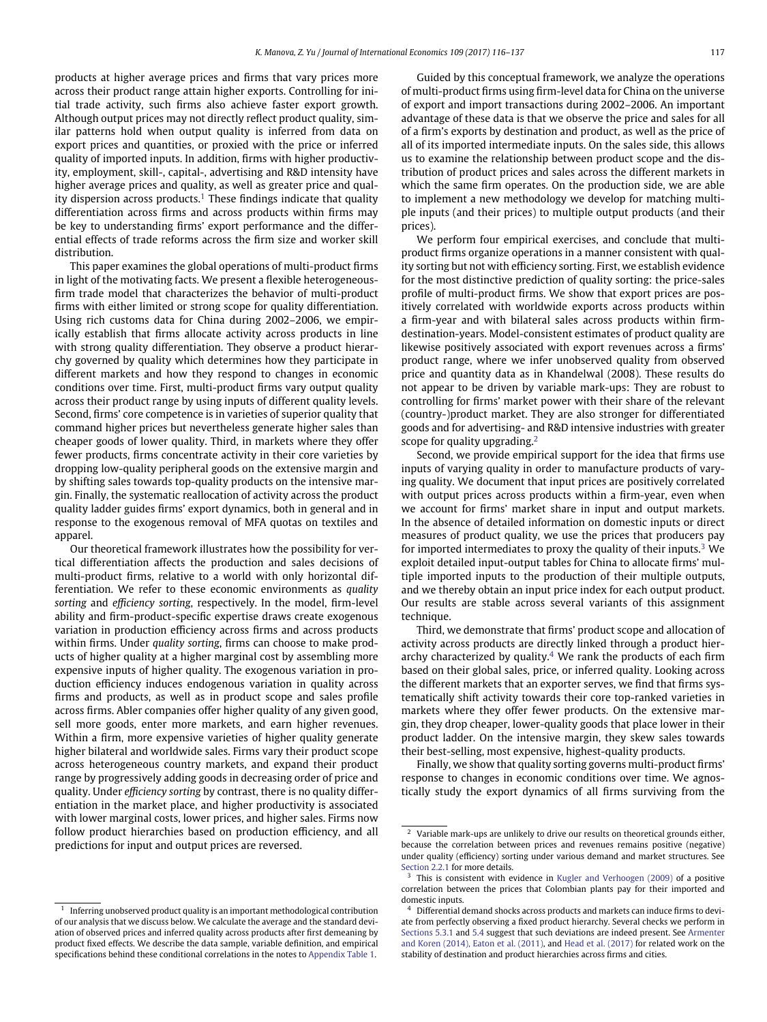products at higher average prices and firms that vary prices more across their product range attain higher exports. Controlling for initial trade activity, such firms also achieve faster export growth. Although output prices may not directly reflect product quality, similar patterns hold when output quality is inferred from data on export prices and quantities, or proxied with the price or inferred quality of imported inputs. In addition, firms with higher productivity, employment, skill-, capital-, advertising and R&D intensity have higher average prices and quality, as well as greater price and quality dispersion across products.<sup>1</sup> These findings indicate that quality differentiation across firms and across products within firms may be key to understanding firms' export performance and the differential effects of trade reforms across the firm size and worker skill distribution.

This paper examines the global operations of multi-product firms in light of the motivating facts. We present a flexible heterogeneousfirm trade model that characterizes the behavior of multi-product firms with either limited or strong scope for quality differentiation. Using rich customs data for China during 2002–2006, we empirically establish that firms allocate activity across products in line with strong quality differentiation. They observe a product hierarchy governed by quality which determines how they participate in different markets and how they respond to changes in economic conditions over time. First, multi-product firms vary output quality across their product range by using inputs of different quality levels. Second, firms' core competence is in varieties of superior quality that command higher prices but nevertheless generate higher sales than cheaper goods of lower quality. Third, in markets where they offer fewer products, firms concentrate activity in their core varieties by dropping low-quality peripheral goods on the extensive margin and by shifting sales towards top-quality products on the intensive margin. Finally, the systematic reallocation of activity across the product quality ladder guides firms' export dynamics, both in general and in response to the exogenous removal of MFA quotas on textiles and apparel.

Our theoretical framework illustrates how the possibility for vertical differentiation affects the production and sales decisions of multi-product firms, relative to a world with only horizontal differentiation. We refer to these economic environments as *quality sorting* and *efficiency sorting*, respectively. In the model, firm-level ability and firm-product-specific expertise draws create exogenous variation in production efficiency across firms and across products within firms. Under *quality sorting*, firms can choose to make products of higher quality at a higher marginal cost by assembling more expensive inputs of higher quality. The exogenous variation in production efficiency induces endogenous variation in quality across firms and products, as well as in product scope and sales profile across firms. Abler companies offer higher quality of any given good, sell more goods, enter more markets, and earn higher revenues. Within a firm, more expensive varieties of higher quality generate higher bilateral and worldwide sales. Firms vary their product scope across heterogeneous country markets, and expand their product range by progressively adding goods in decreasing order of price and quality. Under *efficiency sorting* by contrast, there is no quality differentiation in the market place, and higher productivity is associated with lower marginal costs, lower prices, and higher sales. Firms now follow product hierarchies based on production efficiency, and all predictions for input and output prices are reversed.

Guided by this conceptual framework, we analyze the operations of multi-product firms using firm-level data for China on the universe of export and import transactions during 2002–2006. An important advantage of these data is that we observe the price and sales for all of a firm's exports by destination and product, as well as the price of all of its imported intermediate inputs. On the sales side, this allows us to examine the relationship between product scope and the distribution of product prices and sales across the different markets in which the same firm operates. On the production side, we are able to implement a new methodology we develop for matching multiple inputs (and their prices) to multiple output products (and their prices).

We perform four empirical exercises, and conclude that multiproduct firms organize operations in a manner consistent with quality sorting but not with efficiency sorting. First, we establish evidence for the most distinctive prediction of quality sorting: the price-sales profile of multi-product firms. We show that export prices are positively correlated with worldwide exports across products within a firm-year and with bilateral sales across products within firmdestination-years. Model-consistent estimates of product quality are likewise positively associated with export revenues across a firms' product range, where we infer unobserved quality from observed price and quantity data as in Khandelwal (2008). These results do not appear to be driven by variable mark-ups: They are robust to controlling for firms' market power with their share of the relevant (country-)product market. They are also stronger for differentiated goods and for advertising- and R&D intensive industries with greater scope for quality upgrading.<sup>[2](#page-1-1)</sup>

Second, we provide empirical support for the idea that firms use inputs of varying quality in order to manufacture products of varying quality. We document that input prices are positively correlated with output prices across products within a firm-year, even when we account for firms' market share in input and output markets. In the absence of detailed information on domestic inputs or direct measures of product quality, we use the prices that producers pay for imported intermediates to proxy the quality of their inputs. $3$  We exploit detailed input-output tables for China to allocate firms' multiple imported inputs to the production of their multiple outputs, and we thereby obtain an input price index for each output product. Our results are stable across several variants of this assignment technique.

Third, we demonstrate that firms' product scope and allocation of activity across products are directly linked through a product hierarchy characterized by quality. $4$  We rank the products of each firm based on their global sales, price, or inferred quality. Looking across the different markets that an exporter serves, we find that firms systematically shift activity towards their core top-ranked varieties in markets where they offer fewer products. On the extensive margin, they drop cheaper, lower-quality goods that place lower in their product ladder. On the intensive margin, they skew sales towards their best-selling, most expensive, highest-quality products.

Finally, we show that quality sorting governs multi-product firms' response to changes in economic conditions over time. We agnostically study the export dynamics of all firms surviving from the

<span id="page-1-0"></span> $1$  Inferring unobserved product quality is an important methodological contribution of our analysis that we discuss below. We calculate the average and the standard deviation of observed prices and inferred quality across products after first demeaning by product fixed effects. We describe the data sample, variable definition, and empirical specifications behind these conditional correlations in the notes to Appendix Table 1.

<span id="page-1-1"></span> $\frac{2}{3}$  Variable mark-ups are unlikely to drive our results on theoretical grounds either, because the correlation between prices and revenues remains positive (negative) under quality (efficiency) sorting under various demand and market structures. See [Section 2.2.1](#page-3-0) for more details.

<span id="page-1-2"></span>This is consistent with evidence in [Kugler and Verhoogen \(2009\)](#page-21-3) of a positive correlation between the prices that Colombian plants pay for their imported and domestic inputs.

<span id="page-1-3"></span><sup>4</sup> Differential demand shocks across products and markets can induce firms to deviate from perfectly observing a fixed product hierarchy. Several checks we perform in [Sections 5.3.1](#page-12-0) and [5.4](#page-15-0) [suggest that such deviations are indeed present. See](#page-21-4) Armenter and Koren (2014), Eaton et al. (2011), and [Head et al. \(2017\)](#page-21-5) for related work on the stability of destination and product hierarchies across firms and cities.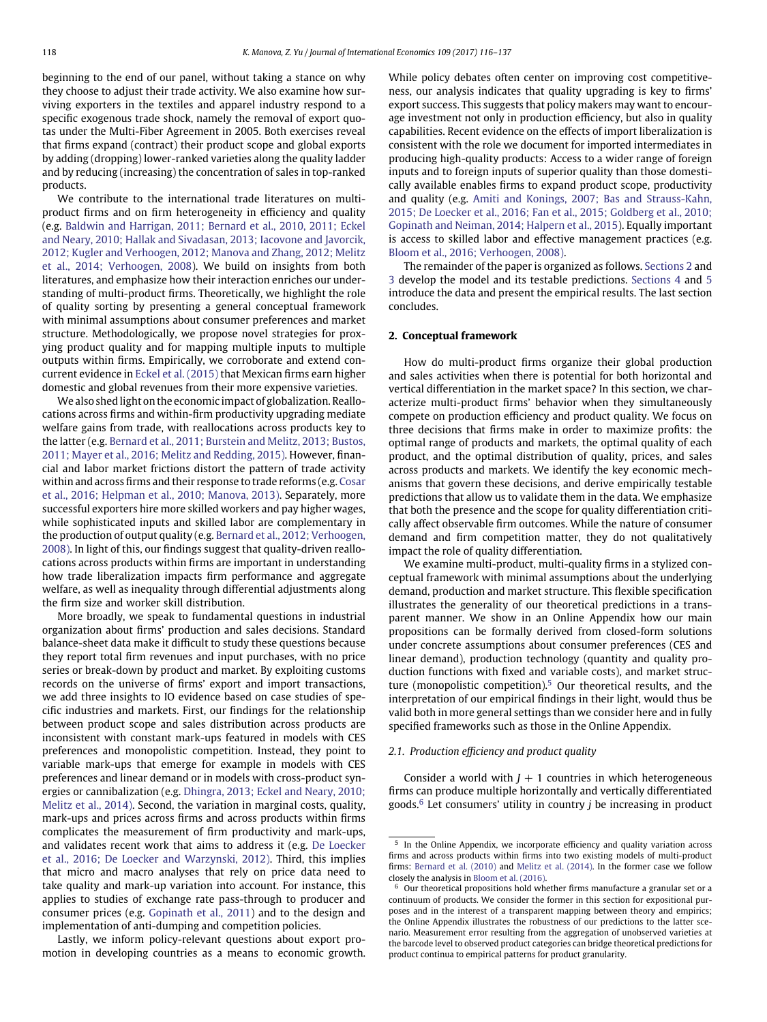beginning to the end of our panel, without taking a stance on why they choose to adjust their trade activity. We also examine how surviving exporters in the textiles and apparel industry respond to a specific exogenous trade shock, namely the removal of export quotas under the Multi-Fiber Agreement in 2005. Both exercises reveal that firms expand (contract) their product scope and global exports by adding (dropping) lower-ranked varieties along the quality ladder and by reducing (increasing) the concentration of sales in top-ranked products.

We contribute to the international trade literatures on multiproduct firms and on firm heterogeneity in efficiency and quality (e.g. Baldwin and Harrigan, 2011; Bernard et al., 2010, 2011; Eckel and Neary, 2010; Hallak and Sivadasan, 2013; Iacovone and Javorcik, 2012; Kugler and Verhoogen, 2012; Manova and Zhang, 2012; Melitz [et al., 2014; Verhoogen, 2008\). We build on insights from both](#page-21-6) literatures, and emphasize how their interaction enriches our understanding of multi-product firms. Theoretically, we highlight the role of quality sorting by presenting a general conceptual framework with minimal assumptions about consumer preferences and market structure. Methodologically, we propose novel strategies for proxying product quality and for mapping multiple inputs to multiple outputs within firms. Empirically, we corroborate and extend concurrent evidence in [Eckel et al. \(2015\)](#page-21-7) that Mexican firms earn higher domestic and global revenues from their more expensive varieties.

We also shed light on the economic impact of globalization. Reallocations across firms and within-firm productivity upgrading mediate welfare gains from trade, with reallocations across products key to the latter (e.g. Bernard et al., 2011; Burstein and Melitz, 2013; Bustos, [2011; Mayer et al., 2016; Melitz and Redding, 2015\). However, finan](#page-21-8)cial and labor market frictions distort the pattern of trade activity within and across firms and their response to trade reforms (e.g. Cosar [et al., 2016; Helpman et al., 2010; Manova, 2013\). Separately, more](#page-21-9) successful exporters hire more skilled workers and pay higher wages, while sophisticated inputs and skilled labor are complementary in the production of output quality (e.g. Bernard et al., 2012; Verhoogen, [2008\). In light of this, our findings suggest that quality-driven reallo](#page-21-10)cations across products within firms are important in understanding how trade liberalization impacts firm performance and aggregate welfare, as well as inequality through differential adjustments along the firm size and worker skill distribution.

More broadly, we speak to fundamental questions in industrial organization about firms' production and sales decisions. Standard balance-sheet data make it difficult to study these questions because they report total firm revenues and input purchases, with no price series or break-down by product and market. By exploiting customs records on the universe of firms' export and import transactions, we add three insights to IO evidence based on case studies of specific industries and markets. First, our findings for the relationship between product scope and sales distribution across products are inconsistent with constant mark-ups featured in models with CES preferences and monopolistic competition. Instead, they point to variable mark-ups that emerge for example in models with CES preferences and linear demand or in models with cross-product synergies or cannibalization (e.g. Dhingra, 2013; Eckel and Neary, 2010; [Melitz et al., 2014\). Second, the variation in marginal costs, quality,](#page-21-11) mark-ups and prices across firms and across products within firms complicates the measurement of firm productivity and mark-ups, and validates recent work that aims to address it (e.g. De Loecker [et al., 2016; De Loecker and Warzynski, 2012\). Third, this implies](#page-21-12) that micro and macro analyses that rely on price data need to take quality and mark-up variation into account. For instance, this applies to studies of exchange rate pass-through to producer and consumer prices (e.g. [Gopinath et al., 2011\)](#page-21-13) and to the design and implementation of anti-dumping and competition policies.

Lastly, we inform policy-relevant questions about export promotion in developing countries as a means to economic growth. While policy debates often center on improving cost competitiveness, our analysis indicates that quality upgrading is key to firms' export success. This suggests that policy makers may want to encourage investment not only in production efficiency, but also in quality capabilities. Recent evidence on the effects of import liberalization is consistent with the role we document for imported intermediates in producing high-quality products: Access to a wider range of foreign inputs and to foreign inputs of superior quality than those domestically available enables firms to expand product scope, productivity and quality (e.g. Amiti and Konings, 2007; Bas and Strauss-Kahn, 2015; De Loecker et al., 2016; Fan et al., 2015; Goldberg et al., 2010; [Gopinath and Neiman, 2014; Halpern et al., 2015\). Equally important](#page-21-14) is access to skilled labor and effective management practices (e.g. [Bloom et al., 2016; Verhoogen, 2008\).](#page-21-15)

The remainder of the paper is organized as follows. [Sections 2](#page-2-0) and [3](#page-5-0) develop the model and its testable predictions. [Sections 4](#page-6-0) and [5](#page-8-0) introduce the data and present the empirical results. The last section concludes.

#### <span id="page-2-0"></span>**2. Conceptual framework**

How do multi-product firms organize their global production and sales activities when there is potential for both horizontal and vertical differentiation in the market space? In this section, we characterize multi-product firms' behavior when they simultaneously compete on production efficiency and product quality. We focus on three decisions that firms make in order to maximize profits: the optimal range of products and markets, the optimal quality of each product, and the optimal distribution of quality, prices, and sales across products and markets. We identify the key economic mechanisms that govern these decisions, and derive empirically testable predictions that allow us to validate them in the data. We emphasize that both the presence and the scope for quality differentiation critically affect observable firm outcomes. While the nature of consumer demand and firm competition matter, they do not qualitatively impact the role of quality differentiation.

We examine multi-product, multi-quality firms in a stylized conceptual framework with minimal assumptions about the underlying demand, production and market structure. This flexible specification illustrates the generality of our theoretical predictions in a transparent manner. We show in an Online Appendix how our main propositions can be formally derived from closed-form solutions under concrete assumptions about consumer preferences (CES and linear demand), production technology (quantity and quality production functions with fixed and variable costs), and market structure (monopolistic competition).[5](#page-2-1) Our theoretical results, and the interpretation of our empirical findings in their light, would thus be valid both in more general settings than we consider here and in fully specified frameworks such as those in the Online Appendix.

# *2.1. Production efficiency and product quality*

Consider a world with  $J + 1$  countries in which heterogeneous firms can produce multiple horizontally and vertically differentiated goods.[6](#page-2-2) Let consumers' utility in country *j* be increasing in product

<span id="page-2-1"></span><sup>&</sup>lt;sup>5</sup> In the Online Appendix, we incorporate efficiency and quality variation across firms and across products within firms into two existing models of multi-product firms: [Bernard et al. \(2010\)](#page-21-1) and [Melitz et al. \(2014\).](#page-21-16) In the former case we follow closely the analysis in [Bloom et al. \(2016\).](#page-21-15)

<span id="page-2-2"></span> $6$  Our theoretical propositions hold whether firms manufacture a granular set or a continuum of products. We consider the former in this section for expositional purposes and in the interest of a transparent mapping between theory and empirics; the Online Appendix illustrates the robustness of our predictions to the latter scenario. Measurement error resulting from the aggregation of unobserved varieties at the barcode level to observed product categories can bridge theoretical predictions for product continua to empirical patterns for product granularity.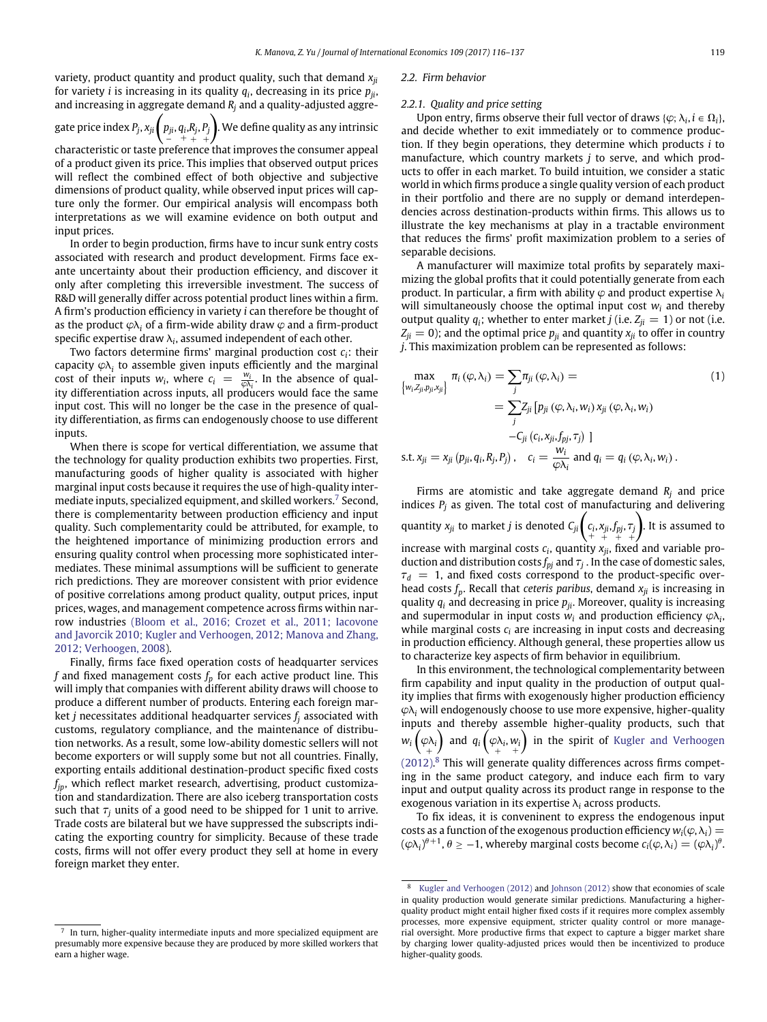variety, product quantity and product quality, such that demand *xji* for variety *i* is increasing in its quality  $q_i$ , decreasing in its price  $p_{ji}$ , and increasing in aggregate demand  $R_i$  and a quality-adjusted aggre-

gate price index  $P_j$ ,  $x_{ji}\left(\begin{matrix} p_{ji},q_iR_j,P_j\ -&+&+ \end{matrix}\right)$ . We define quality as any intrinsic + +

characteristic or taste preference that improves the consumer appeal of a product given its price. This implies that observed output prices will reflect the combined effect of both objective and subjective dimensions of product quality, while observed input prices will capture only the former. Our empirical analysis will encompass both interpretations as we will examine evidence on both output and input prices.

In order to begin production, firms have to incur sunk entry costs associated with research and product development. Firms face exante uncertainty about their production efficiency, and discover it only after completing this irreversible investment. The success of R&D will generally differ across potential product lines within a firm. A firm's production efficiency in variety *i* can therefore be thought of as the product  $\varphi \lambda_i$  of a firm-wide ability draw  $\varphi$  and a firm-product specific expertise draw  $\lambda_i$ , assumed independent of each other.

Two factors determine firms' marginal production cost *ci*: their capacity  $\varphi \lambda_i$  to assemble given inputs efficiently and the marginal cost of their inputs  $w_i$ , where  $c_i = \frac{w_i}{\varphi \lambda_i}$ . In the absence of quality differentiation across inputs, all producers would face the same input cost. This will no longer be the case in the presence of quality differentiation, as firms can endogenously choose to use different inputs.

When there is scope for vertical differentiation, we assume that the technology for quality production exhibits two properties. First, manufacturing goods of higher quality is associated with higher marginal input costs because it requires the use of high-quality inter-mediate inputs, specialized equipment, and skilled workers.<sup>[7](#page-3-1)</sup> Second, there is complementarity between production efficiency and input quality. Such complementarity could be attributed, for example, to the heightened importance of minimizing production errors and ensuring quality control when processing more sophisticated intermediates. These minimal assumptions will be sufficient to generate rich predictions. They are moreover consistent with prior evidence of positive correlations among product quality, output prices, input prices, wages, and management competence across firms within narrow industries (Bloom et al., 2016; Crozet et al., 2011; Iacovone [and Javorcik 2010; Kugler and Verhoogen, 2012; Manova and Zhang,](#page-21-17) 2012; Verhoogen, 2008).

Finally, firms face fixed operation costs of headquarter services  $f$  and fixed management costs  $f_p$  for each active product line. This will imply that companies with different ability draws will choose to produce a different number of products. Entering each foreign market *j* necessitates additional headquarter services  $f_i$  associated with customs, regulatory compliance, and the maintenance of distribution networks. As a result, some low-ability domestic sellers will not become exporters or will supply some but not all countries. Finally, exporting entails additional destination-product specific fixed costs *fjp*, which reflect market research, advertising, product customization and standardization. There are also iceberg transportation costs such that  $\tau_i$  units of a good need to be shipped for 1 unit to arrive. Trade costs are bilateral but we have suppressed the subscripts indicating the exporting country for simplicity. Because of these trade costs, firms will not offer every product they sell at home in every foreign market they enter.

#### *2.2. Firm behavior*

#### <span id="page-3-0"></span>*2.2.1. Quality and price setting*

Upon entry, firms observe their full vector of draws { $\varphi$ ;  $\lambda_i$ ,  $i \in \Omega_i$ }, and decide whether to exit immediately or to commence production. If they begin operations, they determine which products *i* to manufacture, which country markets *j* to serve, and which products to offer in each market. To build intuition, we consider a static world in which firms produce a single quality version of each product in their portfolio and there are no supply or demand interdependencies across destination-products within firms. This allows us to illustrate the key mechanisms at play in a tractable environment that reduces the firms' profit maximization problem to a series of separable decisions.

A manufacturer will maximize total profits by separately maximizing the global profits that it could potentially generate from each product. In particular, a firm with ability  $\varphi$  and product expertise  $\lambda_i$ will simultaneously choose the optimal input cost *wi* and thereby output quality  $q_i$ ; whether to enter market *j* (i.e.  $Z_{ii} = 1$ ) or not (i.e.  $Z_{ji} = 0$ ); and the optimal price  $p_{ji}$  and quantity  $x_{ji}$  to offer in country *j*. This maximization problem can be represented as follows:

<span id="page-3-3"></span>
$$
\max_{\{w_i, Z_{ji}, p_{ji}, x_{ji}\}} \pi_i(\varphi, \lambda_i) = \sum_j \pi_{ji}(\varphi, \lambda_i) =
$$
\n
$$
= \sum_j Z_{ji} [p_{ji} (\varphi, \lambda_i, w_i) x_{ji} (\varphi, \lambda_i, w_i)
$$
\n
$$
-C_{ji} (c_i, x_{ji}, f_{pj}, \tau_j) ]
$$
\ns.t.  $x_{ji} = x_{ji} (p_{ji}, q_i, R_j, P_j), c_i = \frac{w_i}{\varphi \lambda_i}$  and  $q_i = q_i (\varphi, \lambda_i, w_i)$ .

Firms are atomistic and take aggregate demand *Rj* and price indices  $P_i$  as given. The total cost of manufacturing and delivering quantity  $x_{ji}$  to market *j* is denoted  $C_{ji} \begin{pmatrix} c_i, x_{ji}, f_{pj}, \tau_j \ + & + & + \end{pmatrix}$  . It is assumed to increase with marginal costs  $c_i$ , quantity  $x_{ji}$ , fixed and variable production and distribution costs  $f_{pj}$  and  $\tau_j$ . In the case of domestic sales,  $\tau_d = 1$ , and fixed costs correspond to the product-specific overhead costs  $f_n$ . Recall that *ceteris paribus*, demand  $x_{ii}$  is increasing in quality  $q_i$  and decreasing in price  $p_{ii}$ . Moreover, quality is increasing and supermodular in input costs  $w_i$  and production efficiency  $\varphi\lambda_i$ , while marginal costs  $c_i$  are increasing in input costs and decreasing in production efficiency. Although general, these properties allow us to characterize key aspects of firm behavior in equilibrium.

In this environment, the technological complementarity between firm capability and input quality in the production of output quality implies that firms with exogenously higher production efficiency  $\varphi \lambda_i$  will endogenously choose to use more expensive, higher-quality inputs and thereby assemble higher-quality products, such that  $w_i\left(\begin{matrix} \varphi \lambda_i \ \end{matrix}\right)$  and  $q_i\left(\begin{matrix} \varphi \lambda_i, w_i \ \end{matrix}\right)$ in the spirit of Kugler and Verhoogen (2012). [8](#page-3-2) [This will generate quality differences across firms compet](#page-21-18)ing in the same product category, and induce each firm to vary input and output quality across its product range in response to the exogenous variation in its expertise  $\lambda_i$  across products.

To fix ideas, it is conveninent to express the endogenous input costs as a function of the exogenous production efficiency  $w_i(\varphi, \lambda_i) =$  $(\varphi \lambda_i)^{\theta+1}, \theta \geq -1$ , whereby marginal costs become  $c_i(\varphi, \lambda_i) = (\varphi \lambda_i)^{\theta}$ .

<span id="page-3-1"></span>In turn, higher-quality intermediate inputs and more specialized equipment are presumably more expensive because they are produced by more skilled workers that earn a higher wage.

<span id="page-3-2"></span><sup>8</sup> [Kugler and Verhoogen \(2012\)](#page-21-18) and [Johnson \(2012\)](#page-21-19) show that economies of scale in quality production would generate similar predictions. Manufacturing a higherquality product might entail higher fixed costs if it requires more complex assembly processes, more expensive equipment, stricter quality control or more managerial oversight. More productive firms that expect to capture a bigger market share by charging lower quality-adjusted prices would then be incentivized to produce higher-quality goods.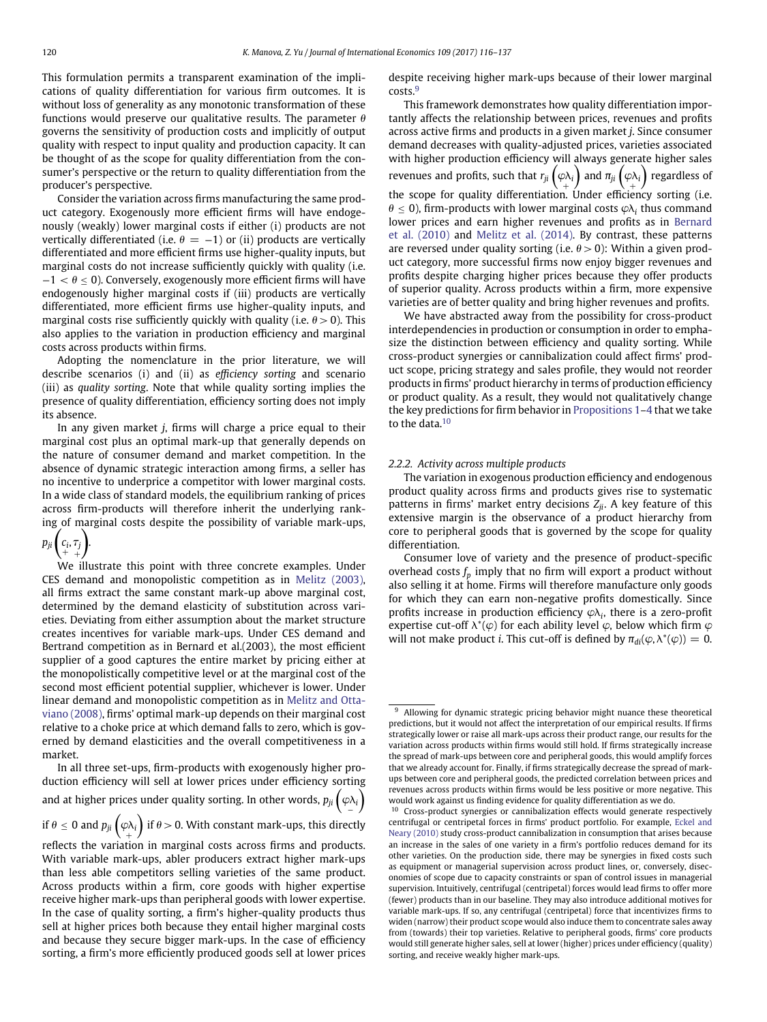This formulation permits a transparent examination of the implications of quality differentiation for various firm outcomes. It is without loss of generality as any monotonic transformation of these functions would preserve our qualitative results. The parameter *h* governs the sensitivity of production costs and implicitly of output quality with respect to input quality and production capacity. It can be thought of as the scope for quality differentiation from the consumer's perspective or the return to quality differentiation from the producer's perspective.

Consider the variation across firms manufacturing the same product category. Exogenously more efficient firms will have endogenously (weakly) lower marginal costs if either (i) products are not vertically differentiated (i.e.  $\theta = -1$ ) or (ii) products are vertically differentiated and more efficient firms use higher-quality inputs, but marginal costs do not increase sufficiently quickly with quality (i.e. −1 *< h* ≤ 0). Conversely, exogenously more efficient firms will have endogenously higher marginal costs if (iii) products are vertically differentiated, more efficient firms use higher-quality inputs, and marginal costs rise sufficiently quickly with quality (i.e.  $\theta > 0$ ). This also applies to the variation in production efficiency and marginal costs across products within firms.

Adopting the nomenclature in the prior literature, we will describe scenarios (i) and (ii) as *efficiency sorting* and scenario (iii) as *quality sorting*. Note that while quality sorting implies the presence of quality differentiation, efficiency sorting does not imply its absence.

In any given market *j*, firms will charge a price equal to their marginal cost plus an optimal mark-up that generally depends on the nature of consumer demand and market competition. In the absence of dynamic strategic interaction among firms, a seller has no incentive to underprice a competitor with lower marginal costs. In a wide class of standard models, the equilibrium ranking of prices across firm-products will therefore inherit the underlying ranking of marginal costs despite the possibility of variable mark-ups,

#### $p_{ji}$  $c_i, \tau_j$ + + Í .

We illustrate this point with three concrete examples. Under CES demand and monopolistic competition as in [Melitz \(2003\),](#page-21-20) all firms extract the same constant mark-up above marginal cost, determined by the demand elasticity of substitution across varieties. Deviating from either assumption about the market structure creates incentives for variable mark-ups. Under CES demand and Bertrand competition as in Bernard et al.(2003), the most efficient supplier of a good captures the entire market by pricing either at the monopolistically competitive level or at the marginal cost of the second most efficient potential supplier, whichever is lower. Under linear demand and monopolistic competition as in Melitz and Otta[viano \(2008\), firms' optimal mark-up depends on their marginal cost](#page-21-21) relative to a choke price at which demand falls to zero, which is governed by demand elasticities and the overall competitiveness in a market.

In all three set-ups, firm-products with exogenously higher production efficiency will sell at lower prices under efficiency sorting and at higher prices under quality sorting. In other words,  $p_{ji}\left(\varphi_{\Delta i}\right)$ if  $\theta \leq 0$  and  $p_{ji}\left(\varphi \lambda_i \right)$  if  $\theta > 0$ . With constant mark-ups, this directly reflects the variation in marginal costs across firms and products. With variable mark-ups, abler producers extract higher mark-ups than less able competitors selling varieties of the same product. Across products within a firm, core goods with higher expertise receive higher mark-ups than peripheral goods with lower expertise.

In the case of quality sorting, a firm's higher-quality products thus sell at higher prices both because they entail higher marginal costs and because they secure bigger mark-ups. In the case of efficiency sorting, a firm's more efficiently produced goods sell at lower prices despite receiving higher mark-ups because of their lower marginal costs.<sup>[9](#page-4-0)</sup>

This framework demonstrates how quality differentiation importantly affects the relationship between prices, revenues and profits across active firms and products in a given market *j*. Since consumer demand decreases with quality-adjusted prices, varieties associated with higher production efficiency will always generate higher sales revenues and profits, such that  $r_{ji}\left(\varphi \lambda_i\right)$  and  $\pi_{ji}\left(\varphi \lambda_i\right)$  regardless of the scope for quality differentiation. Under efficiency sorting (i.e.  $\theta \le 0$ ), firm-products with lower marginal costs  $\varphi \lambda_i$  thus command [lower prices and earn higher revenues and profits as in](#page-21-1) Bernard et al. (2010) and [Melitz et al. \(2014\).](#page-21-16) By contrast, these patterns are reversed under quality sorting (i.e.  $\theta > 0$ ): Within a given product category, more successful firms now enjoy bigger revenues and profits despite charging higher prices because they offer products of superior quality. Across products within a firm, more expensive varieties are of better quality and bring higher revenues and profits.

We have abstracted away from the possibility for cross-product interdependencies in production or consumption in order to emphasize the distinction between efficiency and quality sorting. While cross-product synergies or cannibalization could affect firms' product scope, pricing strategy and sales profile, they would not reorder products in firms' product hierarchy in terms of production efficiency or product quality. As a result, they would not qualitatively change the key predictions for firm behavior in [Propositions 1–](#page-5-1)[4](#page-6-1) that we take to the data.<sup>10</sup>

#### *2.2.2. Activity across multiple products*

The variation in exogenous production efficiency and endogenous product quality across firms and products gives rise to systematic patterns in firms' market entry decisions  $Z_{ji}$ . A key feature of this extensive margin is the observance of a product hierarchy from core to peripheral goods that is governed by the scope for quality differentiation.

Consumer love of variety and the presence of product-specific overhead costs  $f_p$  imply that no firm will export a product without also selling it at home. Firms will therefore manufacture only goods for which they can earn non-negative profits domestically. Since profits increase in production efficiency  $\varphi\lambda_i$ , there is a zero-profit expertise cut-off *k*<sup>∗</sup> (*v*) for each ability level *v*, below which firm *v* will not make product *i*. This cut-off is defined by  $\pi_{di}(\varphi, \lambda^*(\varphi)) = 0$ .

<span id="page-4-0"></span><sup>&</sup>lt;sup>9</sup> Allowing for dynamic strategic pricing behavior might nuance these theoretical predictions, but it would not affect the interpretation of our empirical results. If firms strategically lower or raise all mark-ups across their product range, our results for the variation across products within firms would still hold. If firms strategically increase the spread of mark-ups between core and peripheral goods, this would amplify forces that we already account for. Finally, if firms strategically decrease the spread of markups between core and peripheral goods, the predicted correlation between prices and revenues across products within firms would be less positive or more negative. This would work against us finding evidence for quality differentiation as we do.

<span id="page-4-1"></span><sup>10</sup> Cross-product synergies or cannibalization effects would generate respectively [centrifugal or centripetal forces in firms' product portfolio. For example,](#page-21-22) Eckel and Neary (2010) study cross-product cannibalization in consumption that arises because an increase in the sales of one variety in a firm's portfolio reduces demand for its other varieties. On the production side, there may be synergies in fixed costs such as equipment or managerial supervision across product lines, or, conversely, diseconomies of scope due to capacity constraints or span of control issues in managerial supervision. Intuitively, centrifugal (centripetal) forces would lead firms to offer more (fewer) products than in our baseline. They may also introduce additional motives for variable mark-ups. If so, any centrifugal (centripetal) force that incentivizes firms to widen (narrow) their product scope would also induce them to concentrate sales away from (towards) their top varieties. Relative to peripheral goods, firms' core products would still generate higher sales, sell at lower (higher) prices under efficiency (quality) sorting, and receive weakly higher mark-ups.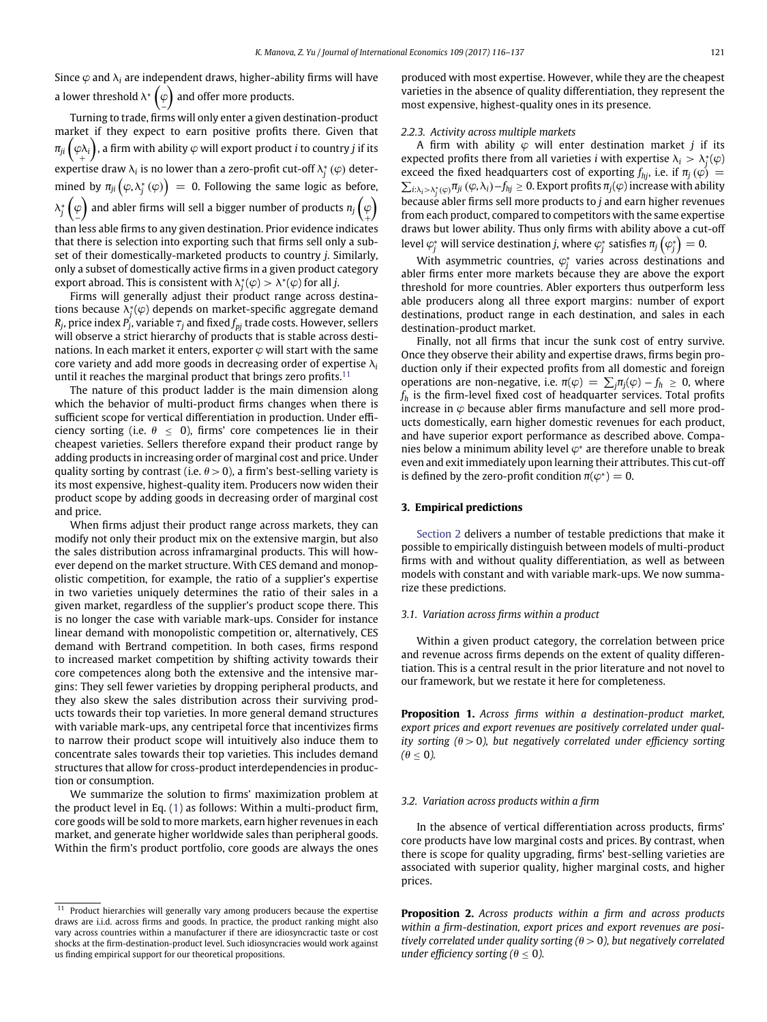Since  $\varphi$  and  $\lambda_i$  are independent draws, higher-ability firms will have a lower threshold  $\lambda^*\bigg(\varphi$ and offer more products.

Turning to trade, firms will only enter a given destination-product market if they expect to earn positive profits there. Given that  $\pi_{ji}\left(\varphi_{\lambda_i}\right)$ , a firm with ability  $\varphi$  will export product *i* to country *j* if its expertise draw  $\lambda_i$  is no lower than a zero-profit cut-off  $\lambda_j^* \left( \varphi \right)$  deter- $\mathsf{mined\ by\ } \pi_{ji}\left(\varphi,\lambda_{j}^{*}\left(\varphi\right)\right) \ =\ 0. \ \mathsf{Following\ the\ same\ logic\ as\ before},$ *λ* $^{*}$   $\Big($   $\frac{\varphi}{\varphi}$ ) and abler firms will sell a bigger number of products  $n_j\left(\begin{matrix} \varphi & \varphi & \varphi & \varphi \ \varphi & \varphi & \varphi & \varphi \end{matrix}\right)$ ). than less able firms to any given destination. Prior evidence indicates that there is selection into exporting such that firms sell only a subset of their domestically-marketed products to country *j*. Similarly, only a subset of domestically active firms in a given product category  $\alpha$  export abroad. This is consistent with  $\lambda_j^*(\varphi) > \lambda^*(\varphi)$  for all *j*.

Firms will generally adjust their product range across destinations because *k*<sup>∗</sup> *<sup>j</sup>* (*v*) depends on market-specific aggregate demand  $R_j$ , price index  $P_j$ , variable  $\tau_j$  and fixed  $f_{pj}$  trade costs. However, sellers will observe a strict hierarchy of products that is stable across destinations. In each market it enters, exporter  $\varphi$  will start with the same core variety and add more goods in decreasing order of expertise  $\lambda_i$ until it reaches the marginal product that brings zero profits. $11$ 

The nature of this product ladder is the main dimension along which the behavior of multi-product firms changes when there is sufficient scope for vertical differentiation in production. Under efficiency sorting (i.e.  $\theta \leq 0$ ), firms' core competences lie in their cheapest varieties. Sellers therefore expand their product range by adding products in increasing order of marginal cost and price. Under quality sorting by contrast (i.e.  $\theta > 0$ ), a firm's best-selling variety is its most expensive, highest-quality item. Producers now widen their product scope by adding goods in decreasing order of marginal cost and price.

When firms adjust their product range across markets, they can modify not only their product mix on the extensive margin, but also the sales distribution across inframarginal products. This will however depend on the market structure. With CES demand and monopolistic competition, for example, the ratio of a supplier's expertise in two varieties uniquely determines the ratio of their sales in a given market, regardless of the supplier's product scope there. This is no longer the case with variable mark-ups. Consider for instance linear demand with monopolistic competition or, alternatively, CES demand with Bertrand competition. In both cases, firms respond to increased market competition by shifting activity towards their core competences along both the extensive and the intensive margins: They sell fewer varieties by dropping peripheral products, and they also skew the sales distribution across their surviving products towards their top varieties. In more general demand structures with variable mark-ups, any centripetal force that incentivizes firms to narrow their product scope will intuitively also induce them to concentrate sales towards their top varieties. This includes demand structures that allow for cross-product interdependencies in production or consumption.

We summarize the solution to firms' maximization problem at the product level in Eq. [\(1\)](#page-3-3) as follows: Within a multi-product firm, core goods will be sold to more markets, earn higher revenues in each market, and generate higher worldwide sales than peripheral goods. Within the firm's product portfolio, core goods are always the ones produced with most expertise. However, while they are the cheapest varieties in the absence of quality differentiation, they represent the most expensive, highest-quality ones in its presence.

#### *2.2.3. Activity across multiple markets*

A firm with ability  $\varphi$  will enter destination market *j* if its expected profits there from all varieties *i* with expertise  $\lambda_i > \lambda_j^*(\varphi)$ exceed the fixed headquarters cost of exporting  $f_{hj}$ , i.e. if  $\pi_j(\varphi)$  =  $\sum_{i:\lambda_i>\lambda_j^*(\varphi)}\pi_{ji}\left(\varphi,\lambda_i\right)-f_{hj}\geq 0.$  Export profits  $\pi_j(\varphi)$  increase with ability because abler firms sell more products to *j* and earn higher revenues from each product, compared to competitors with the same expertise draws but lower ability. Thus only firms with ability above a cut-off level  $\varphi^*_j$  will service destination *j*, where  $\varphi^*_j$  satisfies  $\pi_j\left(\varphi^*_j\right)=0.$ 

With asymmetric countries,  $\varphi^*$  varies across destinations and abler firms enter more markets because they are above the export threshold for more countries. Abler exporters thus outperform less able producers along all three export margins: number of export destinations, product range in each destination, and sales in each destination-product market.

Finally, not all firms that incur the sunk cost of entry survive. Once they observe their ability and expertise draws, firms begin production only if their expected profits from all domestic and foreign operations are non-negative, i.e.  $\pi(\varphi) = \sum_j \pi_j(\varphi) - f_h \geq 0$ , where  $f_h$  is the firm-level fixed cost of headquarter services. Total profits increase in  $\varphi$  because abler firms manufacture and sell more products domestically, earn higher domestic revenues for each product, and have superior export performance as described above. Companies below a minimum ability level *v*<sup>∗</sup> are therefore unable to break even and exit immediately upon learning their attributes. This cut-off is defined by the zero-profit condition  $\pi(\varphi^*) = 0$ .

# <span id="page-5-0"></span>**3. Empirical predictions**

[Section 2](#page-2-0) delivers a number of testable predictions that make it possible to empirically distinguish between models of multi-product firms with and without quality differentiation, as well as between models with constant and with variable mark-ups. We now summarize these predictions.

### *3.1. Variation across firms within a product*

Within a given product category, the correlation between price and revenue across firms depends on the extent of quality differentiation. This is a central result in the prior literature and not novel to our framework, but we restate it here for completeness.

<span id="page-5-1"></span>**Proposition 1.** *Across firms within a destination-product market, export prices and export revenues are positively correlated under quality sorting (h>*0*), but negatively correlated under efficiency sorting*  $(0 \le 0)$ .

#### *3.2. Variation across products within a firm*

In the absence of vertical differentiation across products, firms' core products have low marginal costs and prices. By contrast, when there is scope for quality upgrading, firms' best-selling varieties are associated with superior quality, higher marginal costs, and higher prices.

<span id="page-5-3"></span>**Proposition 2.** *Across products within a firm and across products within a firm-destination, export prices and export revenues are positively correlated under quality sorting (h>*0*), but negatively correlated under efficiency sorting (* $\theta \le 0$ *).* 

<span id="page-5-2"></span><sup>&</sup>lt;sup>11</sup> Product hierarchies will generally vary among producers because the expertise draws are i.i.d. across firms and goods. In practice, the product ranking might also vary across countries within a manufacturer if there are idiosyncractic taste or cost shocks at the firm-destination-product level. Such idiosyncracies would work against us finding empirical support for our theoretical propositions.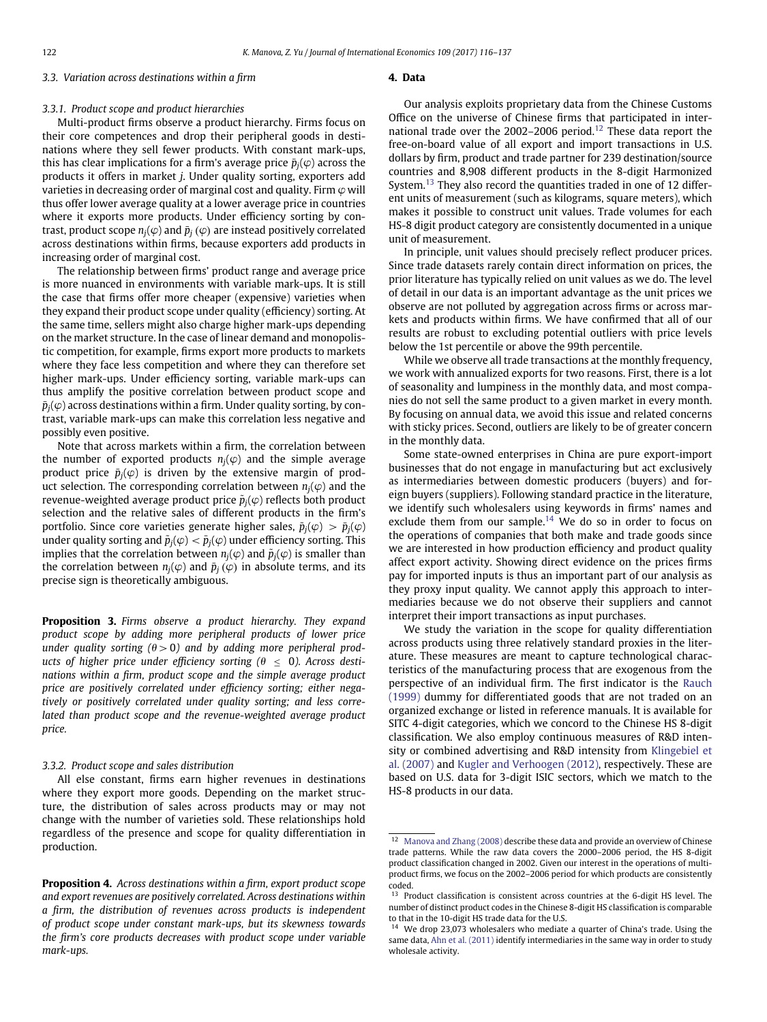# *3.3. Variation across destinations within a firm*

# **4. Data**

#### *3.3.1. Product scope and product hierarchies*

Multi-product firms observe a product hierarchy. Firms focus on their core competences and drop their peripheral goods in destinations where they sell fewer products. With constant mark-ups, this has clear implications for a firm's average price  $\bar{p}_i(\varphi)$  across the products it offers in market *j*. Under quality sorting, exporters add varieties in decreasing order of marginal cost and quality. Firm  $\varphi$  will thus offer lower average quality at a lower average price in countries where it exports more products. Under efficiency sorting by contrast, product scope  $n_j(\varphi)$  and  $\bar{p}_j(\varphi)$  are instead positively correlated across destinations within firms, because exporters add products in increasing order of marginal cost.

The relationship between firms' product range and average price is more nuanced in environments with variable mark-ups. It is still the case that firms offer more cheaper (expensive) varieties when they expand their product scope under quality (efficiency) sorting. At the same time, sellers might also charge higher mark-ups depending on the market structure. In the case of linear demand and monopolistic competition, for example, firms export more products to markets where they face less competition and where they can therefore set higher mark-ups. Under efficiency sorting, variable mark-ups can thus amplify the positive correlation between product scope and  $\bar{p}_i(\varphi)$  across destinations within a firm. Under quality sorting, by contrast, variable mark-ups can make this correlation less negative and possibly even positive.

Note that across markets within a firm, the correlation between the number of exported products  $n_i(\varphi)$  and the simple average product price  $\bar{p}_i(\varphi)$  is driven by the extensive margin of product selection. The corresponding correlation between  $n_i(\varphi)$  and the revenue-weighted average product price  $\tilde{p}_i(\varphi)$  reflects both product selection and the relative sales of different products in the firm's portfolio. Since core varieties generate higher sales,  $\tilde{p}_i(\varphi) > \bar{p}_i(\varphi)$ under quality sorting and  $\tilde{p}_i(\varphi) < \bar{p}_i(\varphi)$  under efficiency sorting. This implies that the correlation between  $n_i(\varphi)$  and  $\tilde{p}_i(\varphi)$  is smaller than the correlation between  $n_i(\varphi)$  and  $\bar{p}_i(\varphi)$  in absolute terms, and its precise sign is theoretically ambiguous.

<span id="page-6-5"></span>**Proposition 3.** *Firms observe a product hierarchy. They expand product scope by adding more peripheral products of lower price under quality sorting*  $(\theta > 0)$  and by adding more peripheral prod*ucts of higher price under efficiency sorting*  $(\theta \le 0)$ *. Across destinations within a firm, product scope and the simple average product price are positively correlated under efficiency sorting; either negatively or positively correlated under quality sorting; and less correlated than product scope and the revenue-weighted average product price.*

# *3.3.2. Product scope and sales distribution*

All else constant, firms earn higher revenues in destinations where they export more goods. Depending on the market structure, the distribution of sales across products may or may not change with the number of varieties sold. These relationships hold regardless of the presence and scope for quality differentiation in production.

<span id="page-6-1"></span><span id="page-6-0"></span>**Proposition 4.** *Across destinations within a firm, export product scope and export revenues are positively correlated. Across destinations within a firm, the distribution of revenues across products is independent of product scope under constant mark-ups, but its skewness towards the firm's core products decreases with product scope under variable mark-ups.*

Our analysis exploits proprietary data from the Chinese Customs Office on the universe of Chinese firms that participated in inter-national trade over the 2002–2006 period.<sup>[12](#page-6-2)</sup> These data report the free-on-board value of all export and import transactions in U.S. dollars by firm, product and trade partner for 239 destination/source countries and 8,908 different products in the 8-digit Harmonized System.<sup>13</sup> They also record the quantities traded in one of 12 different units of measurement (such as kilograms, square meters), which makes it possible to construct unit values. Trade volumes for each HS-8 digit product category are consistently documented in a unique unit of measurement.

In principle, unit values should precisely reflect producer prices. Since trade datasets rarely contain direct information on prices, the prior literature has typically relied on unit values as we do. The level of detail in our data is an important advantage as the unit prices we observe are not polluted by aggregation across firms or across markets and products within firms. We have confirmed that all of our results are robust to excluding potential outliers with price levels below the 1st percentile or above the 99th percentile.

While we observe all trade transactions at the monthly frequency, we work with annualized exports for two reasons. First, there is a lot of seasonality and lumpiness in the monthly data, and most companies do not sell the same product to a given market in every month. By focusing on annual data, we avoid this issue and related concerns with sticky prices. Second, outliers are likely to be of greater concern in the monthly data.

Some state-owned enterprises in China are pure export-import businesses that do not engage in manufacturing but act exclusively as intermediaries between domestic producers (buyers) and foreign buyers (suppliers). Following standard practice in the literature, we identify such wholesalers using keywords in firms' names and exclude them from our sample.<sup>[14](#page-6-4)</sup> We do so in order to focus on the operations of companies that both make and trade goods since we are interested in how production efficiency and product quality affect export activity. Showing direct evidence on the prices firms pay for imported inputs is thus an important part of our analysis as they proxy input quality. We cannot apply this approach to intermediaries because we do not observe their suppliers and cannot interpret their import transactions as input purchases.

We study the variation in the scope for quality differentiation across products using three relatively standard proxies in the literature. These measures are meant to capture technological characteristics of the manufacturing process that are exogenous from the [perspective of an individual firm. The first indicator is the](#page-21-23) Rauch (1999) dummy for differentiated goods that are not traded on an organized exchange or listed in reference manuals. It is available for SITC 4-digit categories, which we concord to the Chinese HS 8-digit classification. We also employ continuous measures of R&D inten[sity or combined advertising and R&D intensity from](#page-21-24) Klingebiel et al. (2007) and [Kugler and Verhoogen \(2012\),](#page-21-18) respectively. These are based on U.S. data for 3-digit ISIC sectors, which we match to the HS-8 products in our data.

<span id="page-6-2"></span><sup>&</sup>lt;sup>12</sup> [Manova and Zhang \(2008\)](#page-21-25) describe these data and provide an overview of Chinese trade patterns. While the raw data covers the 2000–2006 period, the HS 8-digit product classification changed in 2002. Given our interest in the operations of multiproduct firms, we focus on the 2002–2006 period for which products are consistently coded.

<span id="page-6-3"></span><sup>13</sup> Product classification is consistent across countries at the 6-digit HS level. The number of distinct product codes in the Chinese 8-digit HS classification is comparable to that in the 10-digit HS trade data for the U.S.

<span id="page-6-4"></span><sup>14</sup> We drop 23,073 wholesalers who mediate a quarter of China's trade. Using the same data, [Ahn et al. \(2011\)](#page-21-26) identify intermediaries in the same way in order to study wholesale activity.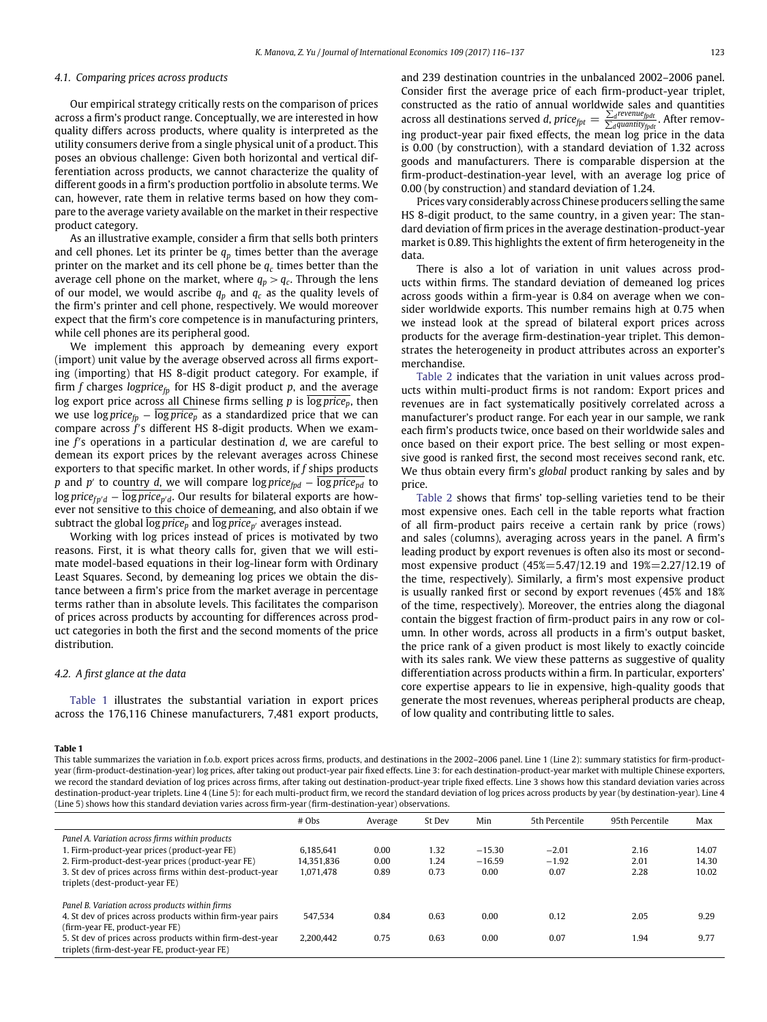# *4.1. Comparing prices across products*

Our empirical strategy critically rests on the comparison of prices across a firm's product range. Conceptually, we are interested in how quality differs across products, where quality is interpreted as the utility consumers derive from a single physical unit of a product. This poses an obvious challenge: Given both horizontal and vertical differentiation across products, we cannot characterize the quality of different goods in a firm's production portfolio in absolute terms. We can, however, rate them in relative terms based on how they compare to the average variety available on the market in their respective product category.

As an illustrative example, consider a firm that sells both printers and cell phones. Let its printer be  $q_p$  times better than the average printer on the market and its cell phone be  $q_c$  times better than the average cell phone on the market, where  $q_p > q_c$ . Through the lens of our model, we would ascribe  $q_p$  and  $q_c$  as the quality levels of the firm's printer and cell phone, respectively. We would moreover expect that the firm's core competence is in manufacturing printers, while cell phones are its peripheral good.

We implement this approach by demeaning every export (import) unit value by the average observed across all firms exporting (importing) that HS 8-digit product category. For example, if firm *f* charges *logprice<sub>fp</sub>* for HS 8-digit product *p*, and the average log export price across all Chinese firms selling *p* is  $\overline{log\, price_p}$ , then we use  $\log price_p - \overline{\log price_p}$  as a standardized price that we can compare across f's different HS 8-digit products. When we examine *f* s operations in a particular destination *d*, we are careful to demean its export prices by the relevant averages across Chinese exporters to that specific market. In other words, if *f* ships products *p* and *p'* to country *d*, we will compare log *price<sub>pd</sub>* − log *price<sub>pd</sub>* to log *price<sub>fn<sup><i>d*</sup></sub> − log price<sub>n<sup>*d*</sub></sup>. Our results for bilateral exports are how-</sub> ever not sensitive to this choice of demeaning, and also obtain if we subtract the global  $\overline{log\,price_p}$  and  $\overline{log\,price_{p'}}$  averages instead.

Working with log prices instead of prices is motivated by two reasons. First, it is what theory calls for, given that we will estimate model-based equations in their log-linear form with Ordinary Least Squares. Second, by demeaning log prices we obtain the distance between a firm's price from the market average in percentage terms rather than in absolute levels. This facilitates the comparison of prices across products by accounting for differences across product categories in both the first and the second moments of the price distribution.

#### *4.2. A first glance at the data*

[Table 1](#page-7-0) illustrates the substantial variation in export prices across the 176,116 Chinese manufacturers, 7,481 export products, and 239 destination countries in the unbalanced 2002–2006 panel. Consider first the average price of each firm-product-year triplet, constructed as the ratio of annual worldwide sales and quantities across all destinations served *d*,  $price_{fpt} = \frac{\sum_{d} revenue_{fpt}}{\sum_{d}quantity_{fpt}}$ . After removing product-year pair fixed effects, the mean log price in the data is 0.00 (by construction), with a standard deviation of 1.32 across goods and manufacturers. There is comparable dispersion at the firm-product-destination-year level, with an average log price of 0.00 (by construction) and standard deviation of 1.24.

Prices vary considerably across Chinese producers selling the same HS 8-digit product, to the same country, in a given year: The standard deviation of firm prices in the average destination-product-year market is 0.89. This highlights the extent of firm heterogeneity in the data.

There is also a lot of variation in unit values across products within firms. The standard deviation of demeaned log prices across goods within a firm-year is 0.84 on average when we consider worldwide exports. This number remains high at 0.75 when we instead look at the spread of bilateral export prices across products for the average firm-destination-year triplet. This demonstrates the heterogeneity in product attributes across an exporter's merchandise.

[Table 2](#page-8-1) indicates that the variation in unit values across products within multi-product firms is not random: Export prices and revenues are in fact systematically positively correlated across a manufacturer's product range. For each year in our sample, we rank each firm's products twice, once based on their worldwide sales and once based on their export price. The best selling or most expensive good is ranked first, the second most receives second rank, etc. We thus obtain every firm's *global* product ranking by sales and by price.

[Table 2](#page-8-1) shows that firms' top-selling varieties tend to be their most expensive ones. Each cell in the table reports what fraction of all firm-product pairs receive a certain rank by price (rows) and sales (columns), averaging across years in the panel. A firm's leading product by export revenues is often also its most or secondmost expensive product (45%=5.47/12.19 and 19%=2.27/12.19 of the time, respectively). Similarly, a firm's most expensive product is usually ranked first or second by export revenues (45% and 18% of the time, respectively). Moreover, the entries along the diagonal contain the biggest fraction of firm-product pairs in any row or column. In other words, across all products in a firm's output basket, the price rank of a given product is most likely to exactly coincide with its sales rank. We view these patterns as suggestive of quality differentiation across products within a firm. In particular, exporters' core expertise appears to lie in expensive, high-quality goods that generate the most revenues, whereas peripheral products are cheap, of low quality and contributing little to sales.

#### <span id="page-7-0"></span>**Table 1**

This table summarizes the variation in f.o.b. export prices across firms, products, and destinations in the 2002-2006 panel. Line 1 (Line 2): summary statistics for firm-productyear (firm-product-destination-year) log prices, after taking out product-year pair fixed effects. Line 3: for each destination-product-year market with multiple Chinese exporters, we record the standard deviation of log prices across firms, after taking out destination-product-year triple fixed effects. Line 3 shows how this standard deviation varies across destination-product-year triplets. Line 4 (Line 5): for each multi-product firm, we record the standard deviation of log prices across products by year (by destination-year). Line 4 (Line 5) shows how this standard deviation varies across firm-year (firm-destination-year) observations.

|                                                                                                            | $#$ Obs    | Average | St Dev | Min      | 5th Percentile | 95th Percentile | Max   |
|------------------------------------------------------------------------------------------------------------|------------|---------|--------|----------|----------------|-----------------|-------|
| Panel A. Variation across firms within products                                                            |            |         |        |          |                |                 |       |
| 1. Firm-product-year prices (product-year FE)                                                              | 6.185.641  | 0.00    | 1.32   | $-15.30$ | $-2.01$        | 2.16            | 14.07 |
| 2. Firm-product-dest-year prices (product-year FE)                                                         | 14,351,836 | 0.00    | 1.24   | $-16.59$ | $-1.92$        | 2.01            | 14.30 |
| 3. St dev of prices across firms within dest-product-year<br>triplets (dest-product-year FE)               | 1.071.478  | 0.89    | 0.73   | 0.00     | 0.07           | 2.28            | 10.02 |
| Panel B. Variation across products within firms                                                            |            |         |        |          |                |                 |       |
| 4. St dev of prices across products within firm-year pairs<br>(firm-year FE, product-year FE)              | 547.534    | 0.84    | 0.63   | 0.00     | 0.12           | 2.05            | 9.29  |
| 5. St dev of prices across products within firm-dest-year<br>triplets (firm-dest-year FE, product-year FE) | 2.200.442  | 0.75    | 0.63   | 0.00     | 0.07           | 1.94            | 9.77  |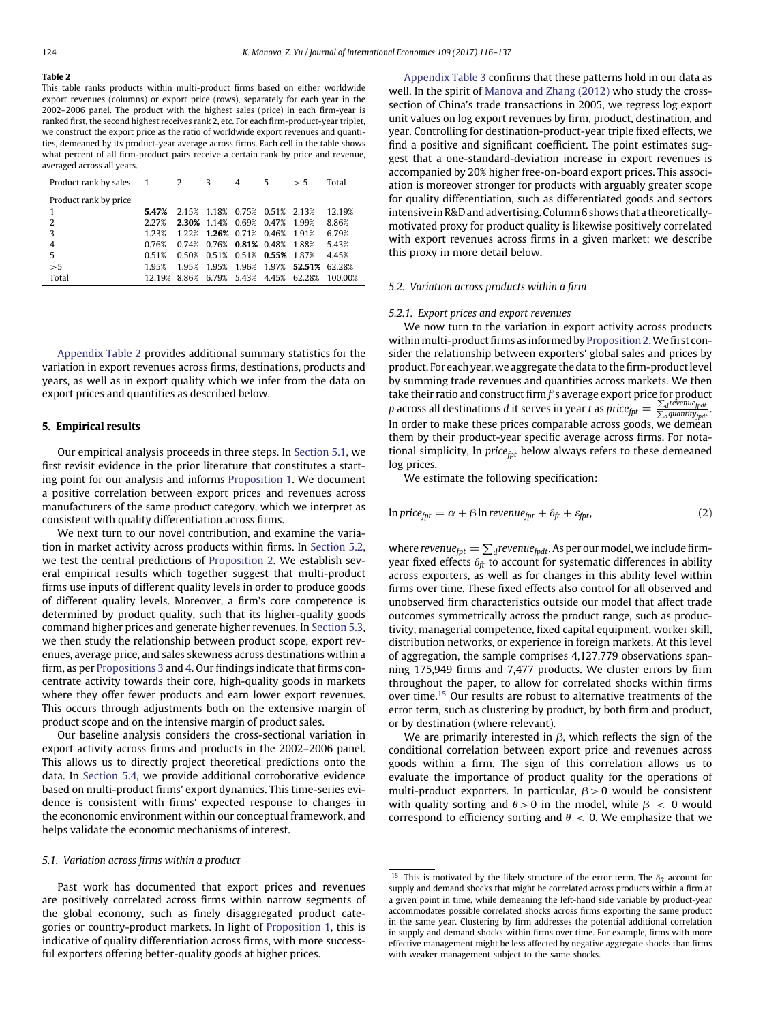<span id="page-8-1"></span>This table ranks products within multi-product firms based on either worldwide export revenues (columns) or export price (rows), separately for each year in the 2002–2006 panel. The product with the highest sales (price) in each firm-year is ranked first, the second highest receives rank 2, etc. For each firm-product-year triplet, we construct the export price as the ratio of worldwide export revenues and quantities, demeaned by its product-year average across firms. Each cell in the table shows what percent of all firm-product pairs receive a certain rank by price and revenue, averaged across all years.

| Product rank by sales 1 2 3 |        |       |                                     | 4     | 5.          | > 5                            | Total   |
|-----------------------------|--------|-------|-------------------------------------|-------|-------------|--------------------------------|---------|
| Product rank by price       |        |       |                                     |       |             |                                |         |
| 1                           | 5.47%  |       | 2.15% 1.18% 0.75% 0.51% 2.13%       |       |             |                                | 12.19%  |
| 2                           | 2.27%  |       | 2.30% 1.14% 0.69%                   |       | 0.47% 1.99% |                                | 8.86%   |
| 3                           | 1 23%  |       | 1.22% 1.26% 0.71% 0.46% 1.91%       |       |             |                                | 6.79%   |
| $\overline{4}$              | 0.76%  |       | $0.74\%$ $0.76\%$ 0.81% 0.48% 1.88% |       |             |                                | 5.43%   |
| 5                           | 0.51%  |       | 0.50% 0.51% 0.51% 0.55% 1.87%       |       |             |                                | 4.45%   |
| >5                          | 195%   | 1 95% | 195%                                | 1.96% |             | 1.97% 52.51% 62.28%            |         |
| Total                       | 12.19% |       |                                     |       |             | 8.86% 6.79% 5.43% 4.45% 62.28% | 100 00% |

Appendix Table 2 provides additional summary statistics for the variation in export revenues across firms, destinations, products and years, as well as in export quality which we infer from the data on export prices and quantities as described below.

# <span id="page-8-0"></span>**5. Empirical results**

Our empirical analysis proceeds in three steps. In [Section 5.1,](#page-8-2) we first revisit evidence in the prior literature that constitutes a starting point for our analysis and informs [Proposition 1.](#page-5-1) We document a positive correlation between export prices and revenues across manufacturers of the same product category, which we interpret as consistent with quality differentiation across firms.

We next turn to our novel contribution, and examine the variation in market activity across products within firms. In [Section 5.2,](#page-8-3) we test the central predictions of [Proposition 2.](#page-5-3) We establish several empirical results which together suggest that multi-product firms use inputs of different quality levels in order to produce goods of different quality levels. Moreover, a firm's core competence is determined by product quality, such that its higher-quality goods command higher prices and generate higher revenues. In [Section 5.3,](#page-12-1) we then study the relationship between product scope, export revenues, average price, and sales skewness across destinations within a firm, as per [Propositions 3](#page-6-5) and [4.](#page-6-1) Our findings indicate that firms concentrate activity towards their core, high-quality goods in markets where they offer fewer products and earn lower export revenues. This occurs through adjustments both on the extensive margin of product scope and on the intensive margin of product sales.

Our baseline analysis considers the cross-sectional variation in export activity across firms and products in the 2002–2006 panel. This allows us to directly project theoretical predictions onto the data. In [Section 5.4,](#page-15-0) we provide additional corroborative evidence based on multi-product firms' export dynamics. This time-series evidence is consistent with firms' expected response to changes in the econonomic environment within our conceptual framework, and helps validate the economic mechanisms of interest.

#### <span id="page-8-2"></span>*5.1. Variation across firms within a product*

Past work has documented that export prices and revenues are positively correlated across firms within narrow segments of the global economy, such as finely disaggregated product categories or country-product markets. In light of [Proposition 1,](#page-5-1) this is indicative of quality differentiation across firms, with more successful exporters offering better-quality goods at higher prices.

Appendix Table 3 confirms that these patterns hold in our data as well. In the spirit of [Manova and Zhang \(2012\)](#page-21-27) who study the crosssection of China's trade transactions in 2005, we regress log export unit values on log export revenues by firm, product, destination, and year. Controlling for destination-product-year triple fixed effects, we find a positive and significant coefficient. The point estimates suggest that a one-standard-deviation increase in export revenues is accompanied by 20% higher free-on-board export prices. This association is moreover stronger for products with arguably greater scope for quality differentiation, such as differentiated goods and sectors intensive in R&D and advertising. Column 6 shows that a theoreticallymotivated proxy for product quality is likewise positively correlated with export revenues across firms in a given market; we describe this proxy in more detail below.

### <span id="page-8-3"></span>*5.2. Variation across products within a firm*

# *5.2.1. Export prices and export revenues*

We now turn to the variation in export activity across products within multi-product firms as informed by [Proposition 2.](#page-5-3) We first consider the relationship between exporters' global sales and prices by product. For each year, we aggregate the data to the firm-product level by summing trade revenues and quantities across markets. We then take their ratio and construct firm *f* s average export price for product *p* across all destinations *d* it serves in year *t* as  $price_{\text{fpt}} = \frac{\sum_{d}r^{e}$  *d*<sub>*d*quantity<sub>fpdt</sub> .</sub> In order to make these prices comparable across goods, we demean them by their product-year specific average across firms. For notational simplicity, ln *price<sub>fpt</sub>* below always refers to these demeaned log prices.

<span id="page-8-5"></span>We estimate the following specification:

$$
\ln price_{fpt} = \alpha + \beta \ln revenue_{fpt} + \delta_{ft} + \varepsilon_{fpt}, \tag{2}
$$

where *revenue<sub>fpt</sub>*  $= \sum_{d}$ *revenue<sub>fpdt</sub>*. As per our model, we include firmyear fixed effects  $\delta_f$  to account for systematic differences in ability across exporters, as well as for changes in this ability level within firms over time. These fixed effects also control for all observed and unobserved firm characteristics outside our model that affect trade outcomes symmetrically across the product range, such as productivity, managerial competence, fixed capital equipment, worker skill, distribution networks, or experience in foreign markets. At this level of aggregation, the sample comprises 4,127,779 observations spanning 175,949 firms and 7,477 products. We cluster errors by firm throughout the paper, to allow for correlated shocks within firms over time.<sup>[15](#page-8-4)</sup> Our results are robust to alternative treatments of the error term, such as clustering by product, by both firm and product, or by destination (where relevant).

We are primarily interested in  $\beta$ , which reflects the sign of the conditional correlation between export price and revenues across goods within a firm. The sign of this correlation allows us to evaluate the importance of product quality for the operations of multi-product exporters. In particular,  $\beta$  > 0 would be consistent with quality sorting and  $\theta > 0$  in the model, while  $\beta < 0$  would correspond to efficiency sorting and  $\theta$  < 0. We emphasize that we

<span id="page-8-4"></span><sup>&</sup>lt;sup>15</sup> This is motivated by the likely structure of the error term. The  $\delta_{ft}$  account for supply and demand shocks that might be correlated across products within a firm at a given point in time, while demeaning the left-hand side variable by product-year accommodates possible correlated shocks across firms exporting the same product in the same year. Clustering by firm addresses the potential additional correlation in supply and demand shocks within firms over time. For example, firms with more effective management might be less affected by negative aggregate shocks than firms with weaker management subject to the same shocks.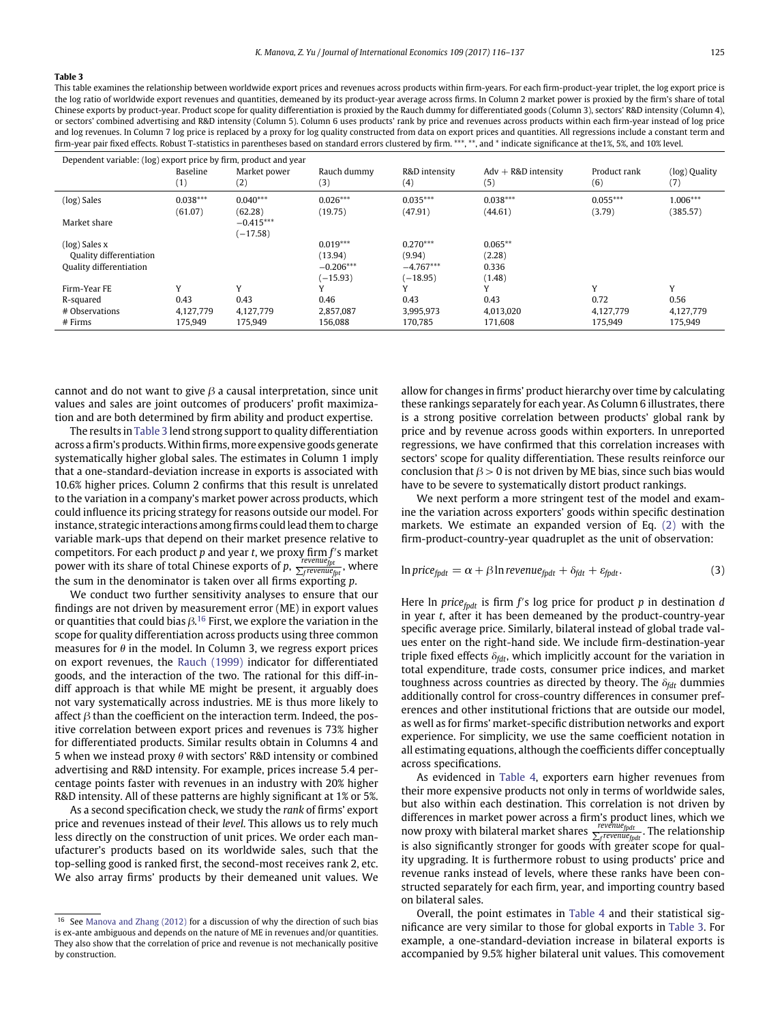<span id="page-9-0"></span>This table examines the relationship between worldwide export prices and revenues across products within firm-years. For each firm-product-year triplet, the log export price is the log ratio of worldwide export revenues and quantities, demeaned by its product-year average across firms. In Column 2 market power is proxied by the firm's share of total Chinese exports by product-year. Product scope for quality differentiation is proxied by the Rauch dummy for differentiated goods (Column 3), sectors' R&D intensity (Column 4), or sectors' combined advertising and R&D intensity (Column 5). Column 6 uses products' rank by price and revenues across products within each firm-year instead of log price and log revenues. In Column 7 log price is replaced by a proxy for log quality constructed from data on export prices and quantities. All regressions include a constant term and firm-year pair fixed effects. Robust T-statistics in parentheses based on standard errors clustered by firm. \*\*\*, \*\*, and \* indicate significance at the1%, 5%, and 10% level.

| Dependent variable: (log) export price by firm, product and year |                       |                           |                       |                       |                              |                      |                      |
|------------------------------------------------------------------|-----------------------|---------------------------|-----------------------|-----------------------|------------------------------|----------------------|----------------------|
|                                                                  | Baseline<br>(1)       | Market power<br>(2)       | Rauch dummy<br>(3)    | R&D intensity<br>(4)  | $Adv + R&D$ intensity<br>(5) | Product rank<br>(6)  | (log) Quality<br>(7) |
| (log) Sales                                                      | $0.038***$<br>(61.07) | $0.040***$<br>(62.28)     | $0.026***$<br>(19.75) | $0.035***$<br>(47.91) | $0.038***$<br>(44.61)        | $0.055***$<br>(3.79) | 1.006***<br>(385.57) |
| Market share                                                     |                       | $-0.415***$<br>$(-17.58)$ |                       |                       |                              |                      |                      |
| $(log)$ Sales x                                                  |                       |                           | $0.019***$            | $0.270***$            | $0.065**$                    |                      |                      |
| Quality differentiation                                          |                       |                           | (13.94)               | (9.94)                | (2.28)                       |                      |                      |
| Quality differentiation                                          |                       |                           | $-0.206***$           | $-4.767***$           | 0.336                        |                      |                      |
|                                                                  |                       |                           | $(-15.93)$            | $(-18.95)$            | (1.48)                       |                      |                      |
| Firm-Year FE                                                     | v                     | v                         |                       |                       | v                            | Y                    | v                    |
| R-squared                                                        | 0.43                  | 0.43                      | 0.46                  | 0.43                  | 0.43                         | 0.72                 | 0.56                 |
| # Observations                                                   | 4.127.779             | 4.127.779                 | 2.857.087             | 3.995.973             | 4.013.020                    | 4.127.779            | 4,127,779            |
| $#$ Firms                                                        | 175.949               | 175.949                   | 156.088               | 170.785               | 171.608                      | 175,949              | 175,949              |

cannot and do not want to give  $\beta$  a causal interpretation, since unit values and sales are joint outcomes of producers' profit maximization and are both determined by firm ability and product expertise.

The results in [Table 3](#page-9-0) lend strong support to quality differentiation across a firm's products. Within firms, more expensive goods generate systematically higher global sales. The estimates in Column 1 imply that a one-standard-deviation increase in exports is associated with 10.6% higher prices. Column 2 confirms that this result is unrelated to the variation in a company's market power across products, which could influence its pricing strategy for reasons outside our model. For instance, strategic interactions among firms could lead them to charge variable mark-ups that depend on their market presence relative to competitors. For each product *p* and year *t*, we proxy firm *f* s market power with its share of total Chinese exports of  $p, \frac{r_{revenue}}{\sum_f rev enue_{fpt}}$ , where the sum in the denominator is taken over all firms exporting *p*.

We conduct two further sensitivity analyses to ensure that our findings are not driven by measurement error (ME) in export values or quantities that could bias  $\beta^{16}$  $\beta^{16}$  $\beta^{16}$  First, we explore the variation in the scope for quality differentiation across products using three common measures for  $\theta$  in the model. In Column 3, we regress export prices on export revenues, the [Rauch \(1999\)](#page-21-23) indicator for differentiated goods, and the interaction of the two. The rational for this diff-indiff approach is that while ME might be present, it arguably does not vary systematically across industries. ME is thus more likely to affect  $\beta$  than the coefficient on the interaction term. Indeed, the positive correlation between export prices and revenues is 73% higher for differentiated products. Similar results obtain in Columns 4 and 5 when we instead proxy *h* with sectors' R&D intensity or combined advertising and R&D intensity. For example, prices increase 5.4 percentage points faster with revenues in an industry with 20% higher R&D intensity. All of these patterns are highly significant at 1% or 5%.

As a second specification check, we study the *rank* of firms' export price and revenues instead of their *level*. This allows us to rely much less directly on the construction of unit prices. We order each manufacturer's products based on its worldwide sales, such that the top-selling good is ranked first, the second-most receives rank 2, etc. We also array firms' products by their demeaned unit values. We allow for changes in firms' product hierarchy over time by calculating these rankings separately for each year. As Column 6 illustrates, there is a strong positive correlation between products' global rank by price and by revenue across goods within exporters. In unreported regressions, we have confirmed that this correlation increases with sectors' scope for quality differentiation. These results reinforce our conclusion that  $\beta$  > 0 is not driven by ME bias, since such bias would have to be severe to systematically distort product rankings.

We next perform a more stringent test of the model and examine the variation across exporters' goods within specific destination markets. We estimate an expanded version of Eq. [\(2\)](#page-8-5) with the firm-product-country-year quadruplet as the unit of observation:

$$
\ln price_{fpdf} = \alpha + \beta \ln revenue_{fpdf} + \delta_{fdt} + \varepsilon_{fpdf}.
$$
\n(3)

Here ln *price<sub>fpdt</sub>* is firm *f's* log price for product *p* in destination *d* in year *t*, after it has been demeaned by the product-country-year specific average price. Similarly, bilateral instead of global trade values enter on the right-hand side. We include firm-destination-year triple fixed effects  $\delta_{\text{fdt}}$ , which implicitly account for the variation in total expenditure, trade costs, consumer price indices, and market toughness across countries as directed by theory. The  $\delta_{fdt}$  dummies additionally control for cross-country differences in consumer preferences and other institutional frictions that are outside our model, as well as for firms' market-specific distribution networks and export experience. For simplicity, we use the same coefficient notation in all estimating equations, although the coefficients differ conceptually across specifications.

As evidenced in [Table 4,](#page-10-0) exporters earn higher revenues from their more expensive products not only in terms of worldwide sales, but also within each destination. This correlation is not driven by differences in market power across a firm's product lines, which we<br>now proxy with bilateral market shares  $\frac{revenue_{fpdt}}{\sum_f revenune_{fpdt}}.$  The relationship is also significantly stronger for goods with greater scope for quality upgrading. It is furthermore robust to using products' price and revenue ranks instead of levels, where these ranks have been constructed separately for each firm, year, and importing country based on bilateral sales.

Overall, the point estimates in [Table 4](#page-10-0) and their statistical significance are very similar to those for global exports in [Table 3.](#page-9-0) For example, a one-standard-deviation increase in bilateral exports is accompanied by 9.5% higher bilateral unit values. This comovement

<span id="page-9-1"></span> $16$  See [Manova and Zhang \(2012\)](#page-21-27) for a discussion of why the direction of such bias is ex-ante ambiguous and depends on the nature of ME in revenues and/or quantities. They also show that the correlation of price and revenue is not mechanically positive by construction.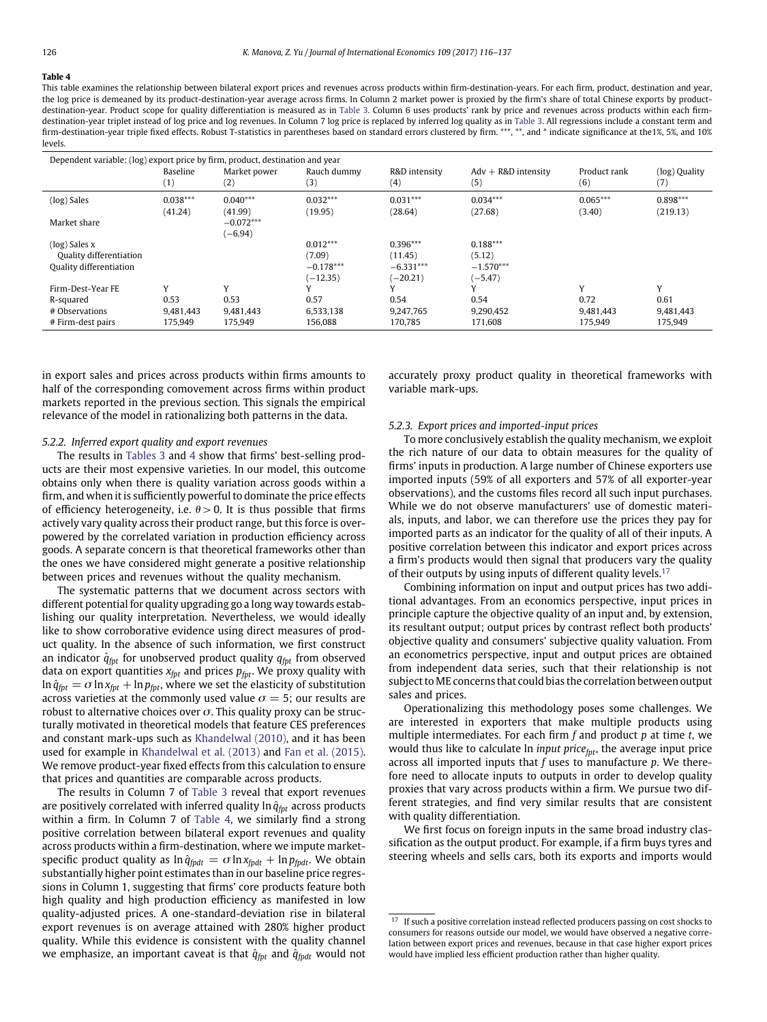<span id="page-10-0"></span>This table examines the relationship between bilateral export prices and revenues across products within firm-destination-years. For each firm, product, destination and year, the log price is demeaned by its product-destination-year average across firms. In Column 2 market power is proxied by the firm's share of total Chinese exports by productdestination-year. Product scope for quality differentiation is measured as in [Table 3.](#page-9-0) Column 6 uses products' rank by price and revenues across products within each firm-destination-year triplet instead of log price and log revenues. In Column 7 log price is replaced by inferred log quality as in [Table 3.](#page-9-0) All regressions include a constant term and firm-destination-year triple fixed effects. Robust T-statistics in parentheses based on standard errors clustered by firm. \*\*\*, \*\*, and \* indicate significance at the1%, 5%, and 10% levels.

| Dependent variable: (log) export price by firm, product, destination and year |                        |                          |                       |                       |                              |                      |                        |
|-------------------------------------------------------------------------------|------------------------|--------------------------|-----------------------|-----------------------|------------------------------|----------------------|------------------------|
|                                                                               | <b>Baseline</b><br>(1) | Market power<br>(2)      | Rauch dummy<br>(3)    | R&D intensity<br>(4)  | $Adv + R&D$ intensity<br>(5) | Product rank<br>(6)  | (log) Quality<br>(7)   |
| (log) Sales                                                                   | $0.038***$<br>(41.24)  | $0.040***$<br>(41.99)    | $0.032***$<br>(19.95) | $0.031***$<br>(28.64) | $0.034***$<br>(27.68)        | $0.065***$<br>(3.40) | $0.898***$<br>(219.13) |
| Market share                                                                  |                        | $-0.072***$<br>$(-6.94)$ |                       |                       |                              |                      |                        |
| $(log)$ Sales $x$                                                             |                        |                          | $0.012***$            | $0.396***$            | $0.188***$                   |                      |                        |
| Quality differentiation                                                       |                        |                          | (7.09)                | (11.45)               | (5.12)                       |                      |                        |
| Quality differentiation                                                       |                        |                          | $-0.178***$           | $-6.331***$           | $-1.570***$                  |                      |                        |
|                                                                               |                        |                          | $(-12.35)$            | $(-20.21)$            | $(-5.47)$                    |                      |                        |
| Firm-Dest-Year FE                                                             | Y                      | V                        | $\mathbf{v}$          |                       | Y                            | Y                    | v                      |
| R-squared                                                                     | 0.53                   | 0.53                     | 0.57                  | 0.54                  | 0.54                         | 0.72                 | 0.61                   |
| # Observations                                                                | 9.481.443              | 9.481.443                | 6.533.138             | 9.247.765             | 9.290.452                    | 9.481.443            | 9.481.443              |
| # Firm-dest pairs                                                             | 175,949                | 175,949                  | 156,088               | 170,785               | 171,608                      | 175,949              | 175,949                |

in export sales and prices across products within firms amounts to half of the corresponding comovement across firms within product markets reported in the previous section. This signals the empirical relevance of the model in rationalizing both patterns in the data.

#### <span id="page-10-2"></span>*5.2.2. Inferred export quality and export revenues*

The results in [Tables 3](#page-9-0) and [4](#page-10-0) show that firms' best-selling products are their most expensive varieties. In our model, this outcome obtains only when there is quality variation across goods within a firm, and when it is sufficiently powerful to dominate the price effects of efficiency heterogeneity, i.e.  $\theta > 0$ . It is thus possible that firms actively vary quality across their product range, but this force is overpowered by the correlated variation in production efficiency across goods. A separate concern is that theoretical frameworks other than the ones we have considered might generate a positive relationship between prices and revenues without the quality mechanism.

The systematic patterns that we document across sectors with different potential for quality upgrading go a long way towards establishing our quality interpretation. Nevertheless, we would ideally like to show corroborative evidence using direct measures of product quality. In the absence of such information, we first construct an indicator  $\hat{q}_{fpt}$  for unobserved product quality  $q_{fpt}$  from observed data on export quantities  $x_{fpt}$  and prices  $p_{fpt}$ . We proxy quality with  $\ln \hat{q}_{fpt} = \sigma \ln x_{fpt} + \ln p_{fpt}$ , where we set the elasticity of substitution across varieties at the commonly used value  $\sigma = 5$ ; our results are robust to alternative choices over  $\sigma$ . This quality proxy can be structurally motivated in theoretical models that feature CES preferences and constant mark-ups such as [Khandelwal \(2010\),](#page-21-28) and it has been used for example in [Khandelwal et al. \(2013\)](#page-21-29) and [Fan et al. \(2015\).](#page-21-30) We remove product-year fixed effects from this calculation to ensure that prices and quantities are comparable across products.

The results in Column 7 of [Table 3](#page-9-0) reveal that export revenues are positively correlated with inferred quality  $\ln \hat{q}_{\text{fnt}}$  across products within a firm. In Column 7 of [Table 4,](#page-10-0) we similarly find a strong positive correlation between bilateral export revenues and quality across products within a firm-destination, where we impute marketspecific product quality as  $\ln \hat{q}_{fpdt} = \sigma \ln x_{fpdt} + \ln p_{fpdt}$ . We obtain substantially higher point estimates than in our baseline price regressions in Column 1, suggesting that firms' core products feature both high quality and high production efficiency as manifested in low quality-adjusted prices. A one-standard-deviation rise in bilateral export revenues is on average attained with 280% higher product quality. While this evidence is consistent with the quality channel we emphasize, an important caveat is that  $\hat{q}_{fpt}$  and  $\hat{q}_{fpt}$  would not

accurately proxy product quality in theoretical frameworks with variable mark-ups.

#### *5.2.3. Export prices and imported-input prices*

To more conclusively establish the quality mechanism, we exploit the rich nature of our data to obtain measures for the quality of firms' inputs in production. A large number of Chinese exporters use imported inputs (59% of all exporters and 57% of all exporter-year observations), and the customs files record all such input purchases. While we do not observe manufacturers' use of domestic materials, inputs, and labor, we can therefore use the prices they pay for imported parts as an indicator for the quality of all of their inputs. A positive correlation between this indicator and export prices across a firm's products would then signal that producers vary the quality of their outputs by using inputs of different quality levels.<sup>[17](#page-10-1)</sup>

Combining information on input and output prices has two additional advantages. From an economics perspective, input prices in principle capture the objective quality of an input and, by extension, its resultant output; output prices by contrast reflect both products' objective quality and consumers' subjective quality valuation. From an econometrics perspective, input and output prices are obtained from independent data series, such that their relationship is not subject to ME concerns that could bias the correlation between output sales and prices.

Operationalizing this methodology poses some challenges. We are interested in exporters that make multiple products using multiple intermediates. For each firm *f* and product *p* at time *t*, we would thus like to calculate ln *input price<sub>fpt</sub>*, the average input price across all imported inputs that *f* uses to manufacture *p*. We therefore need to allocate inputs to outputs in order to develop quality proxies that vary across products within a firm. We pursue two different strategies, and find very similar results that are consistent with quality differentiation.

We first focus on foreign inputs in the same broad industry classification as the output product. For example, if a firm buys tyres and steering wheels and sells cars, both its exports and imports would

<span id="page-10-1"></span> $^{17}\,$  If such a positive correlation instead reflected producers passing on cost shocks to consumers for reasons outside our model, we would have observed a negative correlation between export prices and revenues, because in that case higher export prices would have implied less efficient production rather than higher quality.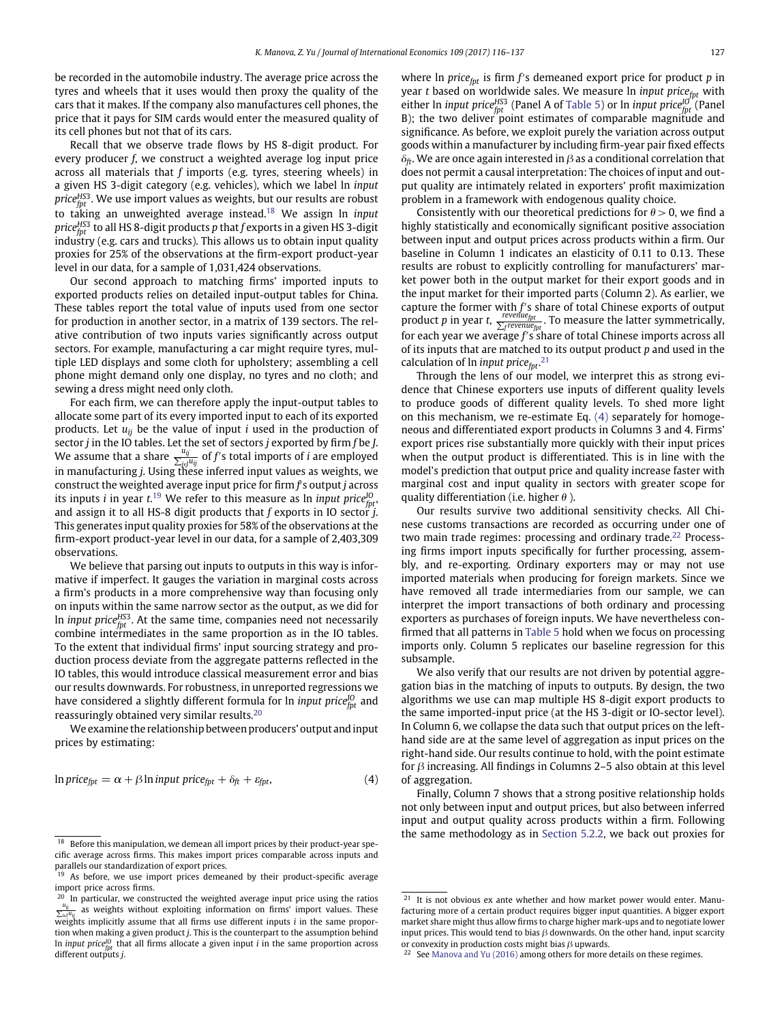be recorded in the automobile industry. The average price across the tyres and wheels that it uses would then proxy the quality of the cars that it makes. If the company also manufactures cell phones, the price that it pays for SIM cards would enter the measured quality of its cell phones but not that of its cars.

Recall that we observe trade flows by HS 8-digit product. For every producer *f*, we construct a weighted average log input price across all materials that *f* imports (e.g. tyres, steering wheels) in a given HS 3-digit category (e.g. vehicles), which we label ln *input priceHS*<sup>3</sup> *fpt* . We use import values as weights, but our results are robust to taking an unweighted average instead.[18](#page-11-0) We assign ln *input priceHS*<sup>3</sup> *fpt* to all HS 8-digit products *p* that *f* exports in a given HS 3-digit industry (e.g. cars and trucks). This allows us to obtain input quality proxies for 25% of the observations at the firm-export product-year level in our data, for a sample of 1,031,424 observations.

Our second approach to matching firms' imported inputs to exported products relies on detailed input-output tables for China. These tables report the total value of inputs used from one sector for production in another sector, in a matrix of 139 sectors. The relative contribution of two inputs varies significantly across output sectors. For example, manufacturing a car might require tyres, multiple LED displays and some cloth for upholstery; assembling a cell phone might demand only one display, no tyres and no cloth; and sewing a dress might need only cloth.

For each firm, we can therefore apply the input-output tables to allocate some part of its every imported input to each of its exported products. Let *uij* be the value of input *i* used in the production of sector *j* in the IO tables. Let the set of sectors *j* exported by firm *f* be J.<br>We assume that a share  $\frac{u_{ij}}{\sum_{j\in j}u_{ij}}$  of *f'*s total imports of *i* are employed in manufacturing *j*. Using these inferred input values as weights, we construct the weighted average input price for firm *f* s output *j* across its inputs *i* in year *t*. [19](#page-11-1) We refer to this measure as ln *input priceIO fpt*, and assign it to all HS-8 digit products that *f* exports in IO sector *j*. This generates input quality proxies for 58% of the observations at the firm-export product-year level in our data, for a sample of 2,403,309 observations.

We believe that parsing out inputs to outputs in this way is informative if imperfect. It gauges the variation in marginal costs across a firm's products in a more comprehensive way than focusing only on inputs within the same narrow sector as the output, as we did for ln *input priceHS*<sup>3</sup> *fpt* . At the same time, companies need not necessarily combine intermediates in the same proportion as in the IO tables. To the extent that individual firms' input sourcing strategy and production process deviate from the aggregate patterns reflected in the IO tables, this would introduce classical measurement error and bias our results downwards. For robustness, in unreported regressions we have considered a slightly different formula for ln *input price* $^{l0}_{\it fpt}$  and reassuringly obtained very similar results.[20](#page-11-2)

We examine the relationship between producers' output and input prices by estimating:

<span id="page-11-4"></span>
$$
\ln price_{\text{fpt}} = \alpha + \beta \ln input price_{\text{fpt}} + \delta_{\text{fft}} + \varepsilon_{\text{fpt}},\tag{4}
$$

where ln *price<sub>fpt</sub>* is firm *f's* demeaned export price for product *p* in year *t* based on worldwide sales. We measure ln *input price<sub>fpt</sub>* with either ln *input priceHS*<sup>3</sup> *fpt* (Panel A of [Table 5\)](#page-12-2) or ln *input priceIO fpt* (Panel B); the two deliver point estimates of comparable magnitude and significance. As before, we exploit purely the variation across output goods within a manufacturer by including firm-year pair fixed effects  $\delta_{ft}$ . We are once again interested in  $\beta$  as a conditional correlation that does not permit a causal interpretation: The choices of input and output quality are intimately related in exporters' profit maximization problem in a framework with endogenous quality choice.

Consistently with our theoretical predictions for  $\theta > 0$ , we find a highly statistically and economically significant positive association between input and output prices across products within a firm. Our baseline in Column 1 indicates an elasticity of 0.11 to 0.13. These results are robust to explicitly controlling for manufacturers' market power both in the output market for their export goods and in the input market for their imported parts (Column 2). As earlier, we capture the former with *f*'s share of total Chinese exports of output product *p* in year *t*,  $\frac{F}{\sum_{f}f$  *frevenue*<sub>*fpt</sub>*. To measure the latter symmetrically,</sub> for each year we average f's share of total Chinese imports across all of its inputs that are matched to its output product *p* and used in the calculation of ln *input price<sub>fpt</sub>*.<sup>[21](#page-11-3)</sup>

Through the lens of our model, we interpret this as strong evidence that Chinese exporters use inputs of different quality levels to produce goods of different quality levels. To shed more light on this mechanism, we re-estimate Eq. [\(4\)](#page-11-4) separately for homogeneous and differentiated export products in Columns 3 and 4. Firms' export prices rise substantially more quickly with their input prices when the output product is differentiated. This is in line with the model's prediction that output price and quality increase faster with marginal cost and input quality in sectors with greater scope for quality differentiation (i.e. higher *h* ).

Our results survive two additional sensitivity checks. All Chinese customs transactions are recorded as occurring under one of two main trade regimes: processing and ordinary trade.<sup>22</sup> Processing firms import inputs specifically for further processing, assembly, and re-exporting. Ordinary exporters may or may not use imported materials when producing for foreign markets. Since we have removed all trade intermediaries from our sample, we can interpret the import transactions of both ordinary and processing exporters as purchases of foreign inputs. We have nevertheless confirmed that all patterns in [Table 5](#page-12-2) hold when we focus on processing imports only. Column 5 replicates our baseline regression for this subsample.

We also verify that our results are not driven by potential aggregation bias in the matching of inputs to outputs. By design, the two algorithms we use can map multiple HS 8-digit export products to the same imported-input price (at the HS 3-digit or IO-sector level). In Column 6, we collapse the data such that output prices on the lefthand side are at the same level of aggregation as input prices on the right-hand side. Our results continue to hold, with the point estimate for *b* increasing. All findings in Columns 2–5 also obtain at this level of aggregation.

Finally, Column 7 shows that a strong positive relationship holds not only between input and output prices, but also between inferred input and output quality across products within a firm. Following the same methodology as in [Section 5.2.2,](#page-10-2) we back out proxies for

<span id="page-11-0"></span> $18$  Before this manipulation, we demean all import prices by their product-year specific average across firms. This makes import prices comparable across inputs and parallels our standardization of export prices.

<span id="page-11-1"></span><sup>&</sup>lt;sup>19</sup> As before, we use import prices demeaned by their product-specific average import price across firms.

<span id="page-11-2"></span><sup>&</sup>lt;sup>20</sup> In particular, we constructed the weighted average input price using the ratios  $\frac{u_{ij}}{\sum_{i\in I}u_{ij}}$  as weights without exploiting information on firms' import values. These weights implicitly assume that all firms use different inputs *i* in the same proportion when making a given product *j*. This is the counterpart to the assumption behind ln *input priceIO fpt* that all firms allocate a given input *i* in the same proportion across different outputs *j*.

<span id="page-11-3"></span> $21$  It is not obvious ex ante whether and how market power would enter. Manufacturing more of a certain product requires bigger input quantities. A bigger export market share might thus allow firms to charge higher mark-ups and to negotiate lower input prices. This would tend to bias  $\beta$  downwards. On the other hand, input scarcity or convexity in production costs might bias *b* upwards.

<span id="page-11-5"></span><sup>&</sup>lt;sup>22</sup> See [Manova and Yu \(2016\)](#page-21-31) among others for more details on these regimes.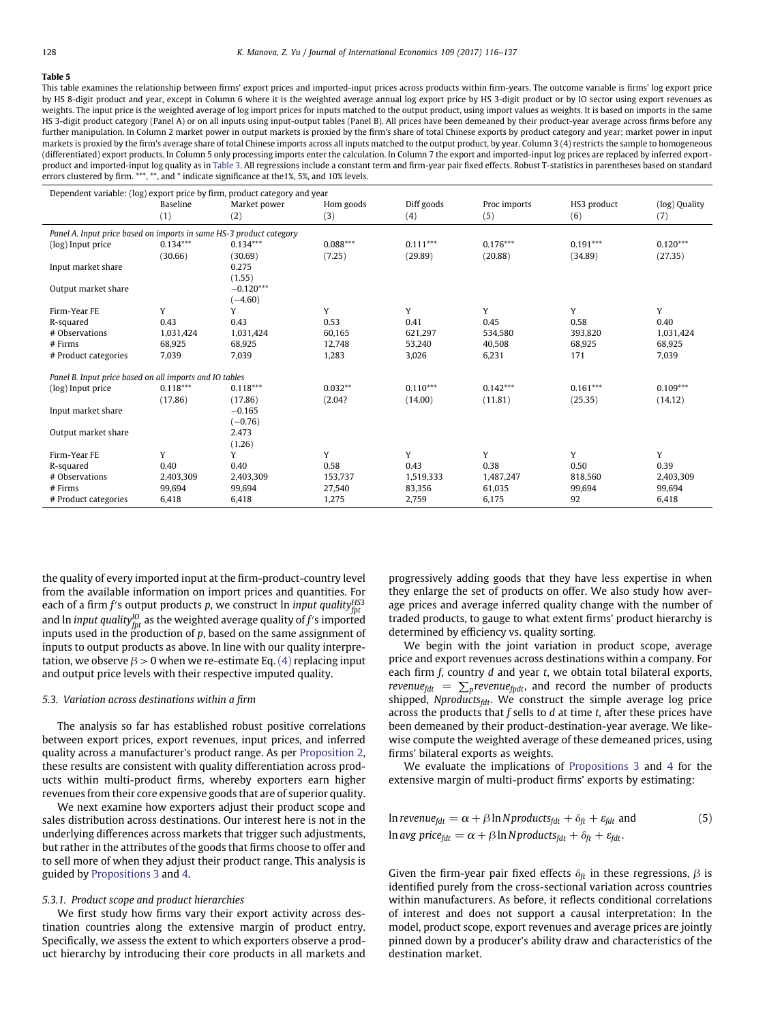<span id="page-12-2"></span>This table examines the relationship between firms' export prices and imported-input prices across products within firm-years. The outcome variable is firms' log export price by HS 8-digit product and year, except in Column 6 where it is the weighted average annual log export price by HS 3-digit product or by IO sector using export revenues as weights. The input price is the weighted average of log import prices for inputs matched to the output product, using import values as weights. It is based on imports in the same HS 3-digit product category (Panel A) or on all inputs using input-output tables (Panel B). All prices have been demeaned by their product-year average across firms before any further manipulation. In Column 2 market power in output markets is proxied by the firm's share of total Chinese exports by product category and year; market power in input markets is proxied by the firm's average share of total Chinese imports across all inputs matched to the output product, by year. Column 3 (4) restricts the sample to homogeneous (differentiated) export products. In Column 5 only processing imports enter the calculation. In Column 7 the export and imported-input log prices are replaced by inferred exportproduct and imported-input log quality as in [Table 3.](#page-9-0) All regressions include a constant term and firm-year pair fixed effects. Robust T-statistics in parentheses based on standard errors clustered by firm. \*\*\*, \*\*, and \* indicate significance at the1%, 5%, and 10% levels.

| Dependent variable: (log) export price by firm, product category and year |            |              |            |            |              |             |               |  |  |  |
|---------------------------------------------------------------------------|------------|--------------|------------|------------|--------------|-------------|---------------|--|--|--|
|                                                                           | Baseline   | Market power | Hom goods  | Diff goods | Proc imports | HS3 product | (log) Quality |  |  |  |
|                                                                           | (1)        | (2)          | (3)        | (4)        | (5)          | (6)         | (7)           |  |  |  |
| Panel A. Input price based on imports in same HS-3 product category       |            |              |            |            |              |             |               |  |  |  |
| (log) Input price                                                         | $0.134***$ | $0.134***$   | $0.088***$ | $0.111***$ | $0.176***$   | $0.191***$  | $0.120***$    |  |  |  |
|                                                                           | (30.66)    | (30.69)      | (7.25)     | (29.89)    | (20.88)      | (34.89)     | (27.35)       |  |  |  |
| Input market share                                                        |            | 0.275        |            |            |              |             |               |  |  |  |
|                                                                           |            | (1.55)       |            |            |              |             |               |  |  |  |
| Output market share                                                       |            | $-0.120***$  |            |            |              |             |               |  |  |  |
|                                                                           |            | $(-4.60)$    |            |            |              |             |               |  |  |  |
| Firm-Year FE                                                              | Y          | Y            | Y          | Y          | Y            | Y           | Y             |  |  |  |
| R-squared                                                                 | 0.43       | 0.43         | 0.53       | 0.41       | 0.45         | 0.58        | 0.40          |  |  |  |
| # Observations                                                            | 1,031,424  | 1,031,424    | 60,165     | 621,297    | 534,580      | 393.820     | 1,031,424     |  |  |  |
| $#$ Firms                                                                 | 68,925     | 68,925       | 12,748     | 53,240     | 40,508       | 68,925      | 68,925        |  |  |  |
| # Product categories                                                      | 7,039      | 7,039        | 1,283      | 3,026      | 6,231        | 171         | 7,039         |  |  |  |
| Panel B. Input price based on all imports and IO tables                   |            |              |            |            |              |             |               |  |  |  |
| (log) Input price                                                         | $0.118***$ | $0.118***$   | $0.032**$  | $0.110***$ | $0.142***$   | $0.161***$  | $0.109***$    |  |  |  |
|                                                                           | (17.86)    | (17.86)      | (2.04?     | (14.00)    | (11.81)      | (25.35)     | (14.12)       |  |  |  |
| Input market share                                                        |            | $-0.165$     |            |            |              |             |               |  |  |  |
|                                                                           |            | $(-0.76)$    |            |            |              |             |               |  |  |  |
| Output market share                                                       |            | 2.473        |            |            |              |             |               |  |  |  |
|                                                                           |            | (1.26)       |            |            |              |             |               |  |  |  |
| Firm-Year FE                                                              | Y          | Y            | Y          | Y          | Y            | Y           | Y             |  |  |  |
| R-squared                                                                 | 0.40       | 0.40         | 0.58       | 0.43       | 0.38         | 0.50        | 0.39          |  |  |  |
| # Observations                                                            | 2,403,309  | 2,403,309    | 153,737    | 1,519,333  | 1,487,247    | 818,560     | 2,403,309     |  |  |  |
| $#$ Firms                                                                 | 99,694     | 99,694       | 27,540     | 83,356     | 61,035       | 99,694      | 99,694        |  |  |  |
| # Product categories                                                      | 6,418      | 6,418        | 1,275      | 2,759      | 6,175        | 92          | 6,418         |  |  |  |

the quality of every imported input at the firm-product-country level from the available information on import prices and quantities. For each of a firm *f'*s output products *p*, we construct ln *input quality* $_{\it{fpt}}^{\it HS3}$ and ln *input quality* $_{\textit{fpt}}^{\textit{IO}}$  as the weighted average quality of *f'* s imported inputs used in the production of  $p$ , based on the same assignment of inputs to output products as above. In line with our quality interpretation, we observe  $\beta > 0$  when we re-estimate Eq. [\(4\)](#page-11-4) replacing input and output price levels with their respective imputed quality.

#### <span id="page-12-1"></span>*5.3. Variation across destinations within a firm*

The analysis so far has established robust positive correlations between export prices, export revenues, input prices, and inferred quality across a manufacturer's product range. As per [Proposition 2,](#page-5-3) these results are consistent with quality differentiation across products within multi-product firms, whereby exporters earn higher revenues from their core expensive goods that are of superior quality.

We next examine how exporters adjust their product scope and sales distribution across destinations. Our interest here is not in the underlying differences across markets that trigger such adjustments, but rather in the attributes of the goods that firms choose to offer and to sell more of when they adjust their product range. This analysis is guided by [Propositions 3](#page-6-5) and [4.](#page-6-1)

#### <span id="page-12-0"></span>*5.3.1. Product scope and product hierarchies*

We first study how firms vary their export activity across destination countries along the extensive margin of product entry. Specifically, we assess the extent to which exporters observe a product hierarchy by introducing their core products in all markets and progressively adding goods that they have less expertise in when they enlarge the set of products on offer. We also study how average prices and average inferred quality change with the number of traded products, to gauge to what extent firms' product hierarchy is determined by efficiency vs. quality sorting.

We begin with the joint variation in product scope, average price and export revenues across destinations within a company. For each firm *f*, country *d* and year *t*, we obtain total bilateral exports, *revenue<sub>fdt</sub>* =  $\sum_{p}$ *revenue<sub>fpdt</sub>*, and record the number of products shipped, *Nproducts<sub>fdt</sub>*. We construct the simple average log price across the products that *f* sells to *d* at time *t*, after these prices have been demeaned by their product-destination-year average. We likewise compute the weighted average of these demeaned prices, using firms' bilateral exports as weights.

We evaluate the implications of [Propositions 3](#page-6-5) and [4](#page-6-1) for the extensive margin of multi-product firms' exports by estimating:

<span id="page-12-3"></span>In revenue<sub>fit</sub> = 
$$
\alpha + \beta \ln N
$$
 products<sub>fit</sub> +  $\delta_{ft} + \varepsilon_{fdt}$  and  
In avg price<sub>fat</sub> =  $\alpha + \beta \ln N$  products<sub>fat</sub> +  $\delta_{ft} + \varepsilon_{fdt}$ . (5)

Given the firm-year pair fixed effects  $\delta_f$  in these regressions,  $\beta$  is identified purely from the cross-sectional variation across countries within manufacturers. As before, it reflects conditional correlations of interest and does not support a causal interpretation: In the model, product scope, export revenues and average prices are jointly pinned down by a producer's ability draw and characteristics of the destination market.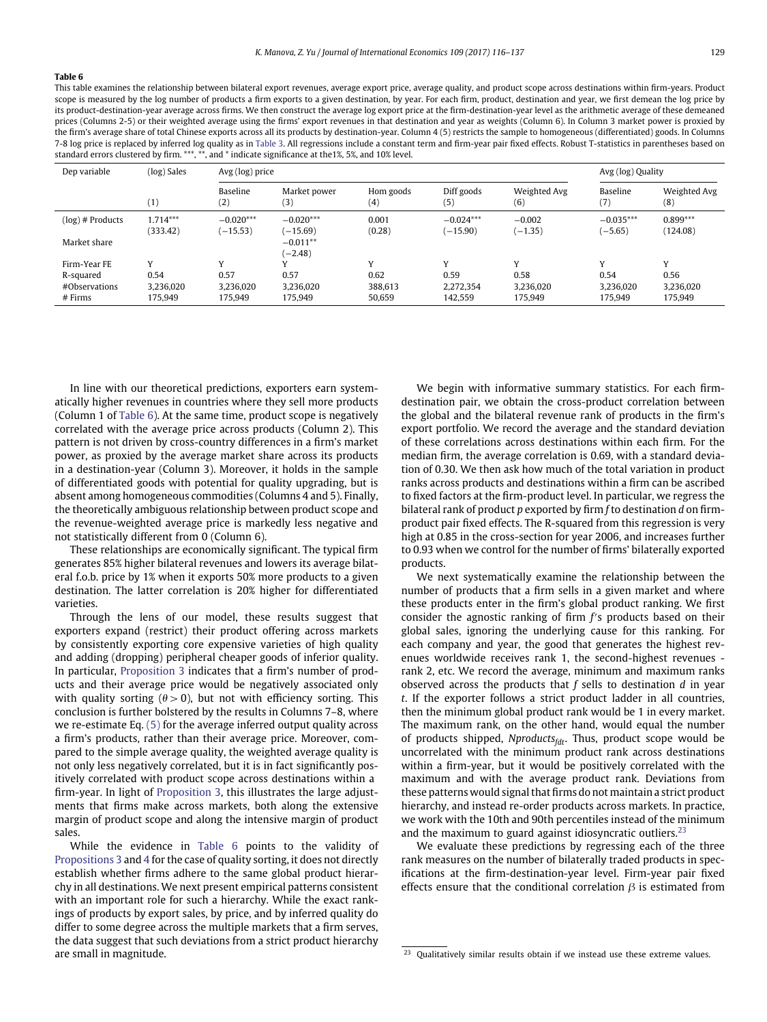<span id="page-13-0"></span>This table examines the relationship between bilateral export revenues, average export price, average quality, and product scope across destinations within firm-years. Product scope is measured by the log number of products a firm exports to a given destination, by year. For each firm, product, destination and year, we first demean the log price by its product-destination-year average across firms. We then construct the average log export price at the firm-destination-year level as the arithmetic average of these demeaned prices (Columns 2-5) or their weighted average using the firms' export revenues in that destination and year as weights (Column 6). In Column 3 market power is proxied by the firm's average share of total Chinese exports across all its products by destination-year. Column 4 (5) restricts the sample to homogeneous (differentiated) goods. In Columns 7-8 log price is replaced by inferred log quality as in [Table 3.](#page-9-0) All regressions include a constant term and firm-year pair fixed effects. Robust T-statistics in parentheses based on standard errors clustered by firm. \*\*\*, \*\*, and \* indicate significance at the1%, 5%, and 10% level.

| Dep variable               | (log) Sales            | Avg (log) price           |                           |                       |                           |                       | Avg (log) Quality        |                        |
|----------------------------|------------------------|---------------------------|---------------------------|-----------------------|---------------------------|-----------------------|--------------------------|------------------------|
|                            | (1)                    | Baseline<br>(2)           | Market power<br>(3)       | Hom goods<br>$^{(4)}$ | Diff goods<br>(5)         | Weighted Avg<br>(6)   | Baseline<br>(7)          | Weighted Avg<br>(8)    |
| $(\log)$ # Products        | $1.714***$<br>(333.42) | $-0.020***$<br>$(-15.53)$ | $-0.020***$<br>$(-15.69)$ | 0.001<br>(0.28)       | $-0.024***$<br>$(-15.90)$ | $-0.002$<br>$(-1.35)$ | $-0.035***$<br>$(-5.65)$ | $0.899***$<br>(124.08) |
| Market share               |                        |                           | $-0.011**$<br>$(-2.48)$   |                       |                           |                       |                          |                        |
| Firm-Year FE               | v                      |                           |                           | $\mathbf{v}$          | $\mathbf{v}$              | $\overline{V}$        | $\mathbf{v}$             | v                      |
| R-squared                  | 0.54                   | 0.57                      | 0.57                      | 0.62                  | 0.59                      | 0.58                  | 0.54                     | 0.56                   |
| #Observations<br>$#$ Firms | 3,236,020<br>175.949   | 3.236.020<br>175,949      | 3.236.020<br>175,949      | 388.613<br>50,659     | 2.272.354<br>142,559      | 3.236.020<br>175,949  | 3.236.020<br>175,949     | 3,236,020<br>175,949   |

In line with our theoretical predictions, exporters earn systematically higher revenues in countries where they sell more products (Column 1 of [Table 6\)](#page-13-0). At the same time, product scope is negatively correlated with the average price across products (Column 2). This pattern is not driven by cross-country differences in a firm's market power, as proxied by the average market share across its products in a destination-year (Column 3). Moreover, it holds in the sample of differentiated goods with potential for quality upgrading, but is absent among homogeneous commodities (Columns 4 and 5). Finally, the theoretically ambiguous relationship between product scope and the revenue-weighted average price is markedly less negative and not statistically different from 0 (Column 6).

These relationships are economically significant. The typical firm generates 85% higher bilateral revenues and lowers its average bilateral f.o.b. price by 1% when it exports 50% more products to a given destination. The latter correlation is 20% higher for differentiated varieties.

Through the lens of our model, these results suggest that exporters expand (restrict) their product offering across markets by consistently exporting core expensive varieties of high quality and adding (dropping) peripheral cheaper goods of inferior quality. In particular, [Proposition 3](#page-6-5) indicates that a firm's number of products and their average price would be negatively associated only with quality sorting  $(\theta > 0)$ , but not with efficiency sorting. This conclusion is further bolstered by the results in Columns 7–8, where we re-estimate Eq. [\(5\)](#page-12-3) for the average inferred output quality across a firm's products, rather than their average price. Moreover, compared to the simple average quality, the weighted average quality is not only less negatively correlated, but it is in fact significantly positively correlated with product scope across destinations within a firm-year. In light of [Proposition 3,](#page-6-5) this illustrates the large adjustments that firms make across markets, both along the extensive margin of product scope and along the intensive margin of product sales.

While the evidence in [Table 6](#page-13-0) points to the validity of [Propositions 3](#page-6-5) and [4](#page-6-1) for the case of quality sorting, it does not directly establish whether firms adhere to the same global product hierarchy in all destinations. We next present empirical patterns consistent with an important role for such a hierarchy. While the exact rankings of products by export sales, by price, and by inferred quality do differ to some degree across the multiple markets that a firm serves, the data suggest that such deviations from a strict product hierarchy are small in magnitude.

We begin with informative summary statistics. For each firmdestination pair, we obtain the cross-product correlation between the global and the bilateral revenue rank of products in the firm's export portfolio. We record the average and the standard deviation of these correlations across destinations within each firm. For the median firm, the average correlation is 0.69, with a standard deviation of 0.30. We then ask how much of the total variation in product ranks across products and destinations within a firm can be ascribed to fixed factors at the firm-product level. In particular, we regress the bilateral rank of product *p* exported by firm *f* to destination *d* on firmproduct pair fixed effects. The R-squared from this regression is very high at 0.85 in the cross-section for year 2006, and increases further to 0.93 when we control for the number of firms' bilaterally exported products.

We next systematically examine the relationship between the number of products that a firm sells in a given market and where these products enter in the firm's global product ranking. We first consider the agnostic ranking of firm  $f$ 's products based on their global sales, ignoring the underlying cause for this ranking. For each company and year, the good that generates the highest revenues worldwide receives rank 1, the second-highest revenues rank 2, etc. We record the average, minimum and maximum ranks observed across the products that *f* sells to destination *d* in year *t*. If the exporter follows a strict product ladder in all countries, then the minimum global product rank would be 1 in every market. The maximum rank, on the other hand, would equal the number of products shipped, *Nproducts<sub>fdt</sub>*. Thus, product scope would be uncorrelated with the minimum product rank across destinations within a firm-year, but it would be positively correlated with the maximum and with the average product rank. Deviations from these patterns would signal that firms do not maintain a strict product hierarchy, and instead re-order products across markets. In practice, we work with the 10th and 90th percentiles instead of the minimum and the maximum to guard against idiosyncratic outliers. $23$ 

We evaluate these predictions by regressing each of the three rank measures on the number of bilaterally traded products in specifications at the firm-destination-year level. Firm-year pair fixed effects ensure that the conditional correlation  $\beta$  is estimated from

<span id="page-13-1"></span> $23$  Qualitatively similar results obtain if we instead use these extreme values.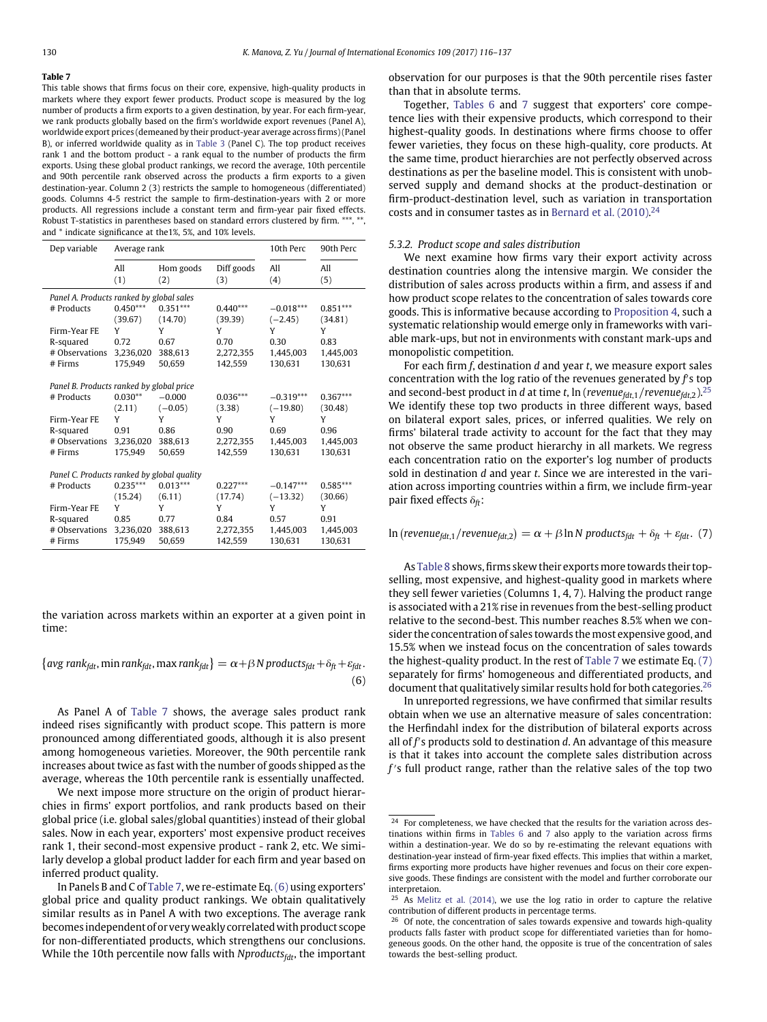<span id="page-14-0"></span>This table shows that firms focus on their core, expensive, high-quality products in markets where they export fewer products. Product scope is measured by the log number of products a firm exports to a given destination, by year. For each firm-year, we rank products globally based on the firm's worldwide export revenues (Panel A), worldwide export prices (demeaned by their product-year average across firms) (Panel B), or inferred worldwide quality as in [Table 3](#page-9-0) (Panel C). The top product receives rank 1 and the bottom product - a rank equal to the number of products the firm exports. Using these global product rankings, we record the average, 10th percentile and 90th percentile rank observed across the products a firm exports to a given destination-year. Column 2 (3) restricts the sample to homogeneous (differentiated) goods. Columns 4-5 restrict the sample to firm-destination-years with 2 or more products. All regressions include a constant term and firm-year pair fixed effects. Robust T-statistics in parentheses based on standard errors clustered by firm. \*\*\*, \*\*, and \* indicate significance at the1%, 5%, and 10% levels.

| Dep variable                               | Average rank |             |              | 10th Perc       | 90th Perc    |
|--------------------------------------------|--------------|-------------|--------------|-----------------|--------------|
|                                            | All          | Hom goods   | Diff goods   | All             | All          |
|                                            | (1)          | (2)         | (3)          | (4)             | (5)          |
| Panel A. Products ranked by global sales   |              |             |              |                 |              |
| # Products                                 | $0.450***$   | $0.351***$  | $0.440***$   | $-0.018***$     | $0.851***$   |
|                                            | (39.67)      | (14.70)     | (39.39)      | $(-2.45)$       | (34.81)      |
| Firm-Year FE                               | Y            | Y           | Y            | Y               | Y            |
| R-squared                                  | 0.72         | 0.67        | 0.70         | 0.30            | 0.83         |
| # Observations                             | 3,236,020    | 388.613     | 2.272.355    | 1.445.003       | 1,445,003    |
| # Firms                                    | 175.949      | 50.659      | 142.559      | 130.631         | 130.631      |
|                                            |              |             |              |                 |              |
| Panel B. Products ranked by global price   |              |             |              |                 |              |
| # Products                                 | $0.030**$    | $-0.000$    | $0.036***$   | $-0.319***$     | $0.367***$   |
|                                            | (2.11)       | $(-0.05)$   | (3.38)       | $(-19.80)$      | (30.48)      |
| Firm-Year FE                               | Υ            | Y           | Y            | Y               | Y            |
| R-squared                                  | 0.91         | 0.86        | 0.90         | 0.69            | 0.96         |
| # Observations                             | 3,236,020    | 388.613     | 2,272,355    | 1,445,003       | 1,445,003    |
| # Firms                                    | 175.949      | 50.659      | 142,559      | 130.631         | 130.631      |
|                                            |              |             |              |                 |              |
| Panel C. Products ranked by global quality | $0.235***$   | $0.013***$  | $0.227***$   |                 | $0.585***$   |
| # Products                                 |              |             |              | $-0.147***$     |              |
|                                            | (15.24)<br>Y | (6.11)<br>Y | (17.74)<br>Υ | $(-13.32)$<br>Y | (30.66)<br>Y |
| Firm-Year FE                               |              |             |              |                 |              |
| R-squared                                  | 0.85         | 0.77        | 0.84         | 0.57            | 0.91         |
| # Observations                             | 3,236,020    | 388.613     | 2,272,355    | 1,445,003       | 1,445,003    |
| # Firms                                    | 175.949      | 50.659      | 142,559      | 130.631         | 130.631      |

the variation across markets within an exporter at a given point in time:

<span id="page-14-1"></span>
$$
\{avg\ rank_{fdt},\min\ rank_{fdt},\max\ rank_{fdt}\} = \alpha + \beta N\ products_{fdt} + \delta_{ft} + \varepsilon_{fdt}.
$$
\n
$$
(6)
$$

As Panel A of [Table 7](#page-14-0) shows, the average sales product rank indeed rises significantly with product scope. This pattern is more pronounced among differentiated goods, although it is also present among homogeneous varieties. Moreover, the 90th percentile rank increases about twice as fast with the number of goods shipped as the average, whereas the 10th percentile rank is essentially unaffected.

We next impose more structure on the origin of product hierarchies in firms' export portfolios, and rank products based on their global price (i.e. global sales/global quantities) instead of their global sales. Now in each year, exporters' most expensive product receives rank 1, their second-most expensive product - rank 2, etc. We similarly develop a global product ladder for each firm and year based on inferred product quality.

observation for our purposes is that the 90th percentile rises faster than that in absolute terms.

Together, [Tables 6](#page-13-0) and [7](#page-14-0) suggest that exporters' core competence lies with their expensive products, which correspond to their highest-quality goods. In destinations where firms choose to offer fewer varieties, they focus on these high-quality, core products. At the same time, product hierarchies are not perfectly observed across destinations as per the baseline model. This is consistent with unobserved supply and demand shocks at the product-destination or firm-product-destination level, such as variation in transportation costs and in consumer tastes as in [Bernard et al. \(2010\).](#page-21-1) [24](#page-14-2)

#### *5.3.2. Product scope and sales distribution*

We next examine how firms vary their export activity across destination countries along the intensive margin. We consider the distribution of sales across products within a firm, and assess if and how product scope relates to the concentration of sales towards core goods. This is informative because according to [Proposition 4,](#page-6-1) such a systematic relationship would emerge only in frameworks with variable mark-ups, but not in environments with constant mark-ups and monopolistic competition.

For each firm *f*, destination *d* and year *t*, we measure export sales concentration with the log ratio of the revenues generated by f's top and second-best product in *d* at time *t*, ln (*revenuefdt*,1*/revenuefdt*,2).[25](#page-14-3) We identify these top two products in three different ways, based on bilateral export sales, prices, or inferred qualities. We rely on firms' bilateral trade activity to account for the fact that they may not observe the same product hierarchy in all markets. We regress each concentration ratio on the exporter's log number of products sold in destination *d* and year *t*. Since we are interested in the variation across importing countries within a firm, we include firm-year pair fixed effects  $\delta_{ft}$ :

<span id="page-14-4"></span> $\ln$  (*revenue<sub>fdt,1</sub>*/*revenue<sub>fdt,2</sub>*) =  $\alpha + \beta \ln N$  products<sub>fdt</sub> +  $\delta_{ft}$  +  $\varepsilon_{fdt}$ . (7)

As [Table 8](#page-15-1) shows, firms skew their exports more towards their topselling, most expensive, and highest-quality good in markets where they sell fewer varieties (Columns 1, 4, 7). Halving the product range is associated with a 21% rise in revenues from the best-selling product relative to the second-best. This number reaches 8.5% when we consider the concentration of sales towards the most expensive good, and 15.5% when we instead focus on the concentration of sales towards the highest-quality product. In the rest of [Table 7](#page-14-0) we estimate Eq. [\(7\)](#page-14-4) separately for firms' homogeneous and differentiated products, and document that qualitatively similar results hold for both categories.<sup>[26](#page-14-5)</sup>

In unreported regressions, we have confirmed that similar results obtain when we use an alternative measure of sales concentration: the Herfindahl index for the distribution of bilateral exports across all of *f* s products sold to destination *d*. An advantage of this measure is that it takes into account the complete sales distribution across f's full product range, rather than the relative sales of the top two

In Panels B and C of [Table 7,](#page-14-0) we re-estimate Eq.[\(6\)](#page-14-1) using exporters' global price and quality product rankings. We obtain qualitatively similar results as in Panel A with two exceptions. The average rank becomes independent of or veryweakly correlatedwith product scope for non-differentiated products, which strengthens our conclusions. While the 10th percentile now falls with *Nproducts<sub>fdt</sub>*, the important

<span id="page-14-2"></span><sup>&</sup>lt;sup>24</sup> For completeness, we have checked that the results for the variation across destinations within firms in [Tables 6](#page-13-0) and [7](#page-14-0) also apply to the variation across firms within a destination-year. We do so by re-estimating the relevant equations with destination-year instead of firm-year fixed effects. This implies that within a market, firms exporting more products have higher revenues and focus on their core expensive goods. These findings are consistent with the model and further corroborate our interpretaion.

<span id="page-14-3"></span> $25$  As [Melitz et al. \(2014\),](#page-21-16) we use the log ratio in order to capture the relative contribution of different products in percentage terms.

<span id="page-14-5"></span><sup>&</sup>lt;sup>26</sup> Of note, the concentration of sales towards expensive and towards high-quality products falls faster with product scope for differentiated varieties than for homogeneous goods. On the other hand, the opposite is true of the concentration of sales towards the best-selling product.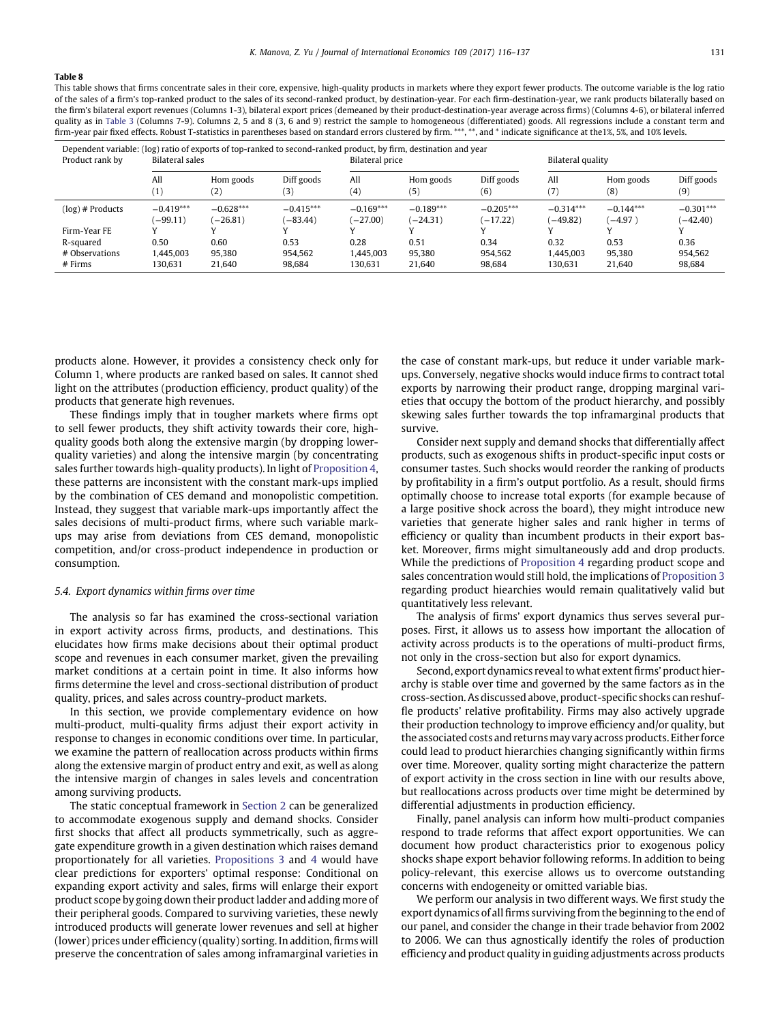<span id="page-15-1"></span>This table shows that firms concentrate sales in their core, expensive, high-quality products in markets where they export fewer products. The outcome variable is the log ratio of the sales of a firm's top-ranked product to the sales of its second-ranked product, by destination-year. For each firm-destination-year, we rank products bilaterally based on the firm's bilateral export revenues (Columns 1-3), bilateral export prices (demeaned by their product-destination-year average across firms) (Columns 4-6), or bilateral inferred quality as in [Table 3](#page-9-0) (Columns 7-9). Columns 2, 5 and 8 (3, 6 and 9) restrict the sample to homogeneous (differentiated) goods. All regressions include a constant term and firm-year pair fixed effects. Robust T-statistics in parentheses based on standard errors clustered by firm. \*\*\*, \*\*, and \* indicate significance at the1%, 5%, and 10% levels.

| Dependent variable: (log) ratio of exports of top-ranked to second-ranked product, by firm, destination and year<br>Product rank by | Bilateral sales |                   |             | <b>Bilateral price</b> |             |             | Bilateral quality |             |             |
|-------------------------------------------------------------------------------------------------------------------------------------|-----------------|-------------------|-------------|------------------------|-------------|-------------|-------------------|-------------|-------------|
|                                                                                                                                     | All             | Hom goods         | Diff goods  | All                    | Hom goods   | Diff goods  | All               | Hom goods   | Diff goods  |
|                                                                                                                                     | $^{\prime}1)$   | $\left( 2\right)$ | 3)          | (4)                    | (5)         | (6)         | (7)               | (8)         | (9)         |
| $(log)$ # Products                                                                                                                  | $-0.419***$     | $-0.628***$       | $-0.415***$ | $-0.169***$            | $-0.189***$ | $-0.205***$ | $-0.314***$       | $-0.144***$ | $-0.301***$ |
|                                                                                                                                     | $(-99.11)$      | $-26.81$          | $(-83.44)$  | $(-27.00)$             | $(-24.31)$  | $(-17.22)$  | $(-49.82)$        | $(-4.97)$   | $(-42.40)$  |
| Firm-Year FE                                                                                                                        |                 |                   |             |                        |             |             |                   |             |             |
| R-squared                                                                                                                           | 0.50            | 0.60              | 0.53        | 0.28                   | 0.51        | 0.34        | 0.32              | 0.53        | 0.36        |
| # Observations                                                                                                                      | 1.445.003       | 95.380            | 954,562     | 1.445.003              | 95.380      | 954.562     | 1.445.003         | 95.380      | 954,562     |
| $#$ Firms                                                                                                                           | 130,631         | 21.640            | 98,684      | 130,631                | 21.640      | 98,684      | 130.631           | 21,640      | 98,684      |

products alone. However, it provides a consistency check only for Column 1, where products are ranked based on sales. It cannot shed light on the attributes (production efficiency, product quality) of the products that generate high revenues.

These findings imply that in tougher markets where firms opt to sell fewer products, they shift activity towards their core, highquality goods both along the extensive margin (by dropping lowerquality varieties) and along the intensive margin (by concentrating sales further towards high-quality products). In light of [Proposition 4,](#page-6-1) these patterns are inconsistent with the constant mark-ups implied by the combination of CES demand and monopolistic competition. Instead, they suggest that variable mark-ups importantly affect the sales decisions of multi-product firms, where such variable markups may arise from deviations from CES demand, monopolistic competition, and/or cross-product independence in production or consumption.

#### <span id="page-15-0"></span>*5.4. Export dynamics within firms over time*

The analysis so far has examined the cross-sectional variation in export activity across firms, products, and destinations. This elucidates how firms make decisions about their optimal product scope and revenues in each consumer market, given the prevailing market conditions at a certain point in time. It also informs how firms determine the level and cross-sectional distribution of product quality, prices, and sales across country-product markets.

In this section, we provide complementary evidence on how multi-product, multi-quality firms adjust their export activity in response to changes in economic conditions over time. In particular, we examine the pattern of reallocation across products within firms along the extensive margin of product entry and exit, as well as along the intensive margin of changes in sales levels and concentration among surviving products.

The static conceptual framework in [Section 2](#page-2-0) can be generalized to accommodate exogenous supply and demand shocks. Consider first shocks that affect all products symmetrically, such as aggregate expenditure growth in a given destination which raises demand proportionately for all varieties. [Propositions 3](#page-6-5) and [4](#page-6-1) would have clear predictions for exporters' optimal response: Conditional on expanding export activity and sales, firms will enlarge their export product scope by going down their product ladder and adding more of their peripheral goods. Compared to surviving varieties, these newly introduced products will generate lower revenues and sell at higher (lower) prices under efficiency (quality) sorting. In addition, firms will preserve the concentration of sales among inframarginal varieties in

the case of constant mark-ups, but reduce it under variable markups. Conversely, negative shocks would induce firms to contract total exports by narrowing their product range, dropping marginal varieties that occupy the bottom of the product hierarchy, and possibly skewing sales further towards the top inframarginal products that survive.

Consider next supply and demand shocks that differentially affect products, such as exogenous shifts in product-specific input costs or consumer tastes. Such shocks would reorder the ranking of products by profitability in a firm's output portfolio. As a result, should firms optimally choose to increase total exports (for example because of a large positive shock across the board), they might introduce new varieties that generate higher sales and rank higher in terms of efficiency or quality than incumbent products in their export basket. Moreover, firms might simultaneously add and drop products. While the predictions of [Proposition 4](#page-6-1) regarding product scope and sales concentration would still hold, the implications of [Proposition 3](#page-6-5) regarding product hiearchies would remain qualitatively valid but quantitatively less relevant.

The analysis of firms' export dynamics thus serves several purposes. First, it allows us to assess how important the allocation of activity across products is to the operations of multi-product firms, not only in the cross-section but also for export dynamics.

Second, export dynamics reveal to what extent firms' product hierarchy is stable over time and governed by the same factors as in the cross-section. As discussed above, product-specific shocks can reshuffle products' relative profitability. Firms may also actively upgrade their production technology to improve efficiency and/or quality, but the associated costs and returns may vary across products. Either force could lead to product hierarchies changing significantly within firms over time. Moreover, quality sorting might characterize the pattern of export activity in the cross section in line with our results above, but reallocations across products over time might be determined by differential adjustments in production efficiency.

Finally, panel analysis can inform how multi-product companies respond to trade reforms that affect export opportunities. We can document how product characteristics prior to exogenous policy shocks shape export behavior following reforms. In addition to being policy-relevant, this exercise allows us to overcome outstanding concerns with endogeneity or omitted variable bias.

We perform our analysis in two different ways. We first study the export dynamics of all firms surviving from the beginning to the end of our panel, and consider the change in their trade behavior from 2002 to 2006. We can thus agnostically identify the roles of production efficiency and product quality in guiding adjustments across products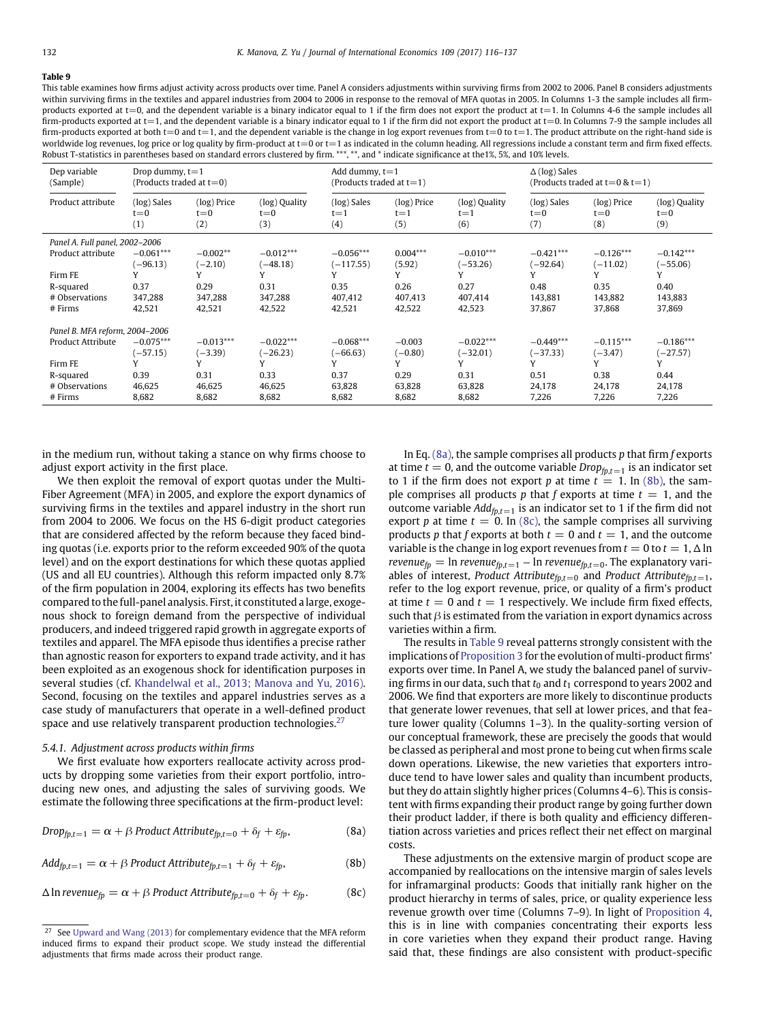<span id="page-16-4"></span>This table examines how firms adjust activity across products over time. Panel A considers adjustments within surviving firms from 2002 to 2006. Panel B considers adjustments within surviving firms in the textiles and apparel industries from 2004 to 2006 in response to the removal of MFA quotas in 2005. In Columns 1-3 the sample includes all firmproducts exported at t=0, and the dependent variable is a binary indicator equal to 1 if the firm does not export the product at t=1. In Columns 4-6 the sample includes all firm-products exported at t=1, and the dependent variable is a binary indicator equal to 1 if the firm did not export the product at t=0. In Columns 7-9 the sample includes all firm-products exported at both t=0 and t=1, and the dependent variable is the change in log export revenues from t=0 to t=1. The product attribute on the right-hand side is worldwide log revenues, log price or log quality by firm-product at t=0 or t=1 as indicated in the column heading. All regressions include a constant term and firm fixed effects. Robust T-statistics in parentheses based on standard errors clustered by firm. \*\*\*, \*\*, and \* indicate significance at the1%, 5%, and 10% levels.

| Dep variable<br>(Sample)       | Drop dummy, $t=1$<br>(Products traded at $t=0$ ) |                               |                                 | Add dummy, $t=1$<br>(Products traded at $t=1$ ) |                               |                                 | $\Delta$ (log) Sales          | (Products traded at $t=0$ & $t=1$ ) |                                 |
|--------------------------------|--------------------------------------------------|-------------------------------|---------------------------------|-------------------------------------------------|-------------------------------|---------------------------------|-------------------------------|-------------------------------------|---------------------------------|
| Product attribute              | (log) Sales<br>$t = 0$<br>(1)                    | (log) Price<br>$t = 0$<br>(2) | (log) Quality<br>$t = 0$<br>(3) | (log) Sales<br>$t = 1$<br>(4)                   | (log) Price<br>$t = 1$<br>(5) | (log) Quality<br>$t = 1$<br>(6) | (log) Sales<br>$t = 0$<br>(7) | (log) Price<br>$t = 0$<br>(8)       | (log) Quality<br>$t = 0$<br>(9) |
| Panel A. Full panel, 2002-2006 |                                                  |                               |                                 |                                                 |                               |                                 |                               |                                     |                                 |
| Product attribute              | $-0.061***$<br>$(-96.13)$                        | $-0.002**$<br>$(-2.10)$       | $-0.012***$<br>$(-48.18)$       | $-0.056***$<br>$(-117.55)$                      | $0.004***$<br>(5.92)          | $-0.010***$<br>$(-53.26)$       | $-0.421***$<br>$(-92.64)$     | $-0.126***$<br>$(-11.02)$           | $-0.142***$<br>$(-55.06)$       |
| Firm FE                        |                                                  |                               | Υ                               |                                                 | Y                             |                                 |                               | Y                                   | Υ                               |
| R-squared                      | 0.37                                             | 0.29                          | 0.31                            | 0.35                                            | 0.26                          | 0.27                            | 0.48                          | 0.35                                | 0.40                            |
| # Observations                 | 347,288                                          | 347,288                       | 347,288                         | 407,412                                         | 407,413                       | 407,414                         | 143,881                       | 143,882                             | 143,883                         |
| $#$ Firms                      | 42,521                                           | 42,521                        | 42,522                          | 42,521                                          | 42,522                        | 42,523                          | 37.867                        | 37,868                              | 37,869                          |
| Panel B. MFA reform, 2004-2006 |                                                  |                               |                                 |                                                 |                               |                                 |                               |                                     |                                 |
| <b>Product Attribute</b>       | $-0.075***$                                      | $-0.013***$                   | $-0.022***$                     | $-0.068***$                                     | $-0.003$                      | $-0.022***$                     | $-0.449***$                   | $-0.115***$                         | $-0.186***$                     |
|                                | $(-57.15)$                                       | $(-3.39)$                     | $(-26.23)$                      | $(-66.63)$                                      | $(-0.80)$                     | $(-32.01)$                      | $(-37.33)$                    | $(-3.47)$                           | $(-27.57)$                      |
| Firm FE                        | Y                                                | Y                             | Y                               | V                                               | Y                             | Y                               | v                             | v                                   | Y                               |
| R-squared                      | 0.39                                             | 0.31                          | 0.33                            | 0.37                                            | 0.29                          | 0.31                            | 0.51                          | 0.38                                | 0.44                            |
| # Observations                 | 46,625                                           | 46,625                        | 46,625                          | 63,828                                          | 63,828                        | 63,828                          | 24,178                        | 24,178                              | 24,178                          |
| $#$ Firms                      | 8,682                                            | 8,682                         | 8,682                           | 8,682                                           | 8,682                         | 8,682                           | 7,226                         | 7,226                               | 7,226                           |

in the medium run, without taking a stance on why firms choose to adjust export activity in the first place.

We then exploit the removal of export quotas under the Multi-Fiber Agreement (MFA) in 2005, and explore the export dynamics of surviving firms in the textiles and apparel industry in the short run from 2004 to 2006. We focus on the HS 6-digit product categories that are considered affected by the reform because they faced binding quotas (i.e. exports prior to the reform exceeded 90% of the quota level) and on the export destinations for which these quotas applied (US and all EU countries). Although this reform impacted only 8.7% of the firm population in 2004, exploring its effects has two benefits compared to the full-panel analysis. First, it constituted a large, exogenous shock to foreign demand from the perspective of individual producers, and indeed triggered rapid growth in aggregate exports of textiles and apparel. The MFA episode thus identifies a precise rather than agnostic reason for exporters to expand trade activity, and it has been exploited as an exogenous shock for identification purposes in several studies (cf. [Khandelwal et al., 2013; Manova and Yu, 2016\).](#page-21-29) Second, focusing on the textiles and apparel industries serves as a case study of manufacturers that operate in a well-defined product space and use relatively transparent production technologies. $27$ 

#### *5.4.1. Adjustment across products within firms*

We first evaluate how exporters reallocate activity across products by dropping some varieties from their export portfolio, introducing new ones, and adjusting the sales of surviving goods. We estimate the following three specifications at the firm-product level:

$$
Drop_{fp,t=1} = \alpha + \beta ProductAttribute_{fp,t=0} + \delta_f + \varepsilon_{fp},
$$
\n(8a)

<span id="page-16-2"></span> $Add_{fp,t=1} = \alpha + \beta$  Product Attribute<sub>fp,t=1</sub> +  $\delta_f + \varepsilon_{fp}$ , (8b)

<span id="page-16-3"></span>
$$
\Delta \ln \text{revenue}_{fp} = \alpha + \beta \text{ Product Attribute}_{fp,t=0} + \delta_f + \varepsilon_{fp}. \tag{8c}
$$

<span id="page-16-5"></span>In Eq. [\(8a\),](#page-16-1) the sample comprises all products *p* that firm *f* exports at time  $t = 0$ , and the outcome variable  $Drop_{fp,t=1}$  is an indicator set to 1 if the firm does not export *p* at time  $t = 1$ . In [\(8b\),](#page-16-2) the sample comprises all products  $p$  that  $f$  exports at time  $t = 1$ , and the outcome variable  $Add_{fp,t=1}$  is an indicator set to 1 if the firm did not export *p* at time  $t = 0$ . In [\(8c\),](#page-16-3) the sample comprises all surviving products *p* that *f* exports at both  $t = 0$  and  $t = 1$ , and the outcome variable is the change in log export revenues from  $t = 0$  to  $t = 1$ ,  $\Delta \ln$ *revenue*<sub>fp</sub> = ln *revenue*<sub>fp,t=1</sub> – ln *revenue*<sub>fp,t=0</sub>. The explanatory variables of interest, *Product Attribute* $_{fp,t=0}$  and *Product Attribute* $_{fp,t=1}$ , refer to the log export revenue, price, or quality of a firm's product at time  $t = 0$  and  $t = 1$  respectively. We include firm fixed effects, such that  $\beta$  is estimated from the variation in export dynamics across varieties within a firm.

The results in [Table 9](#page-16-4) reveal patterns strongly consistent with the implications of [Proposition 3](#page-6-5) for the evolution of multi-product firms' exports over time. In Panel A, we study the balanced panel of surviving firms in our data, such that  $t_0$  and  $t_1$  correspond to years 2002 and 2006. We find that exporters are more likely to discontinue products that generate lower revenues, that sell at lower prices, and that feature lower quality (Columns 1–3). In the quality-sorting version of our conceptual framework, these are precisely the goods that would be classed as peripheral and most prone to being cut when firms scale down operations. Likewise, the new varieties that exporters introduce tend to have lower sales and quality than incumbent products, but they do attain slightly higher prices (Columns 4–6). This is consistent with firms expanding their product range by going further down their product ladder, if there is both quality and efficiency differentiation across varieties and prices reflect their net effect on marginal costs.

<span id="page-16-1"></span>These adjustments on the extensive margin of product scope are accompanied by reallocations on the intensive margin of sales levels for inframarginal products: Goods that initially rank higher on the product hierarchy in terms of sales, price, or quality experience less revenue growth over time (Columns 7–9). In light of [Proposition 4,](#page-6-1) this is in line with companies concentrating their exports less in core varieties when they expand their product range. Having said that, these findings are also consistent with product-specific

<span id="page-16-0"></span><sup>&</sup>lt;sup>27</sup> See [Upward and Wang \(2013\)](#page-21-32) for complementary evidence that the MFA reform induced firms to expand their product scope. We study instead the differential adjustments that firms made across their product range.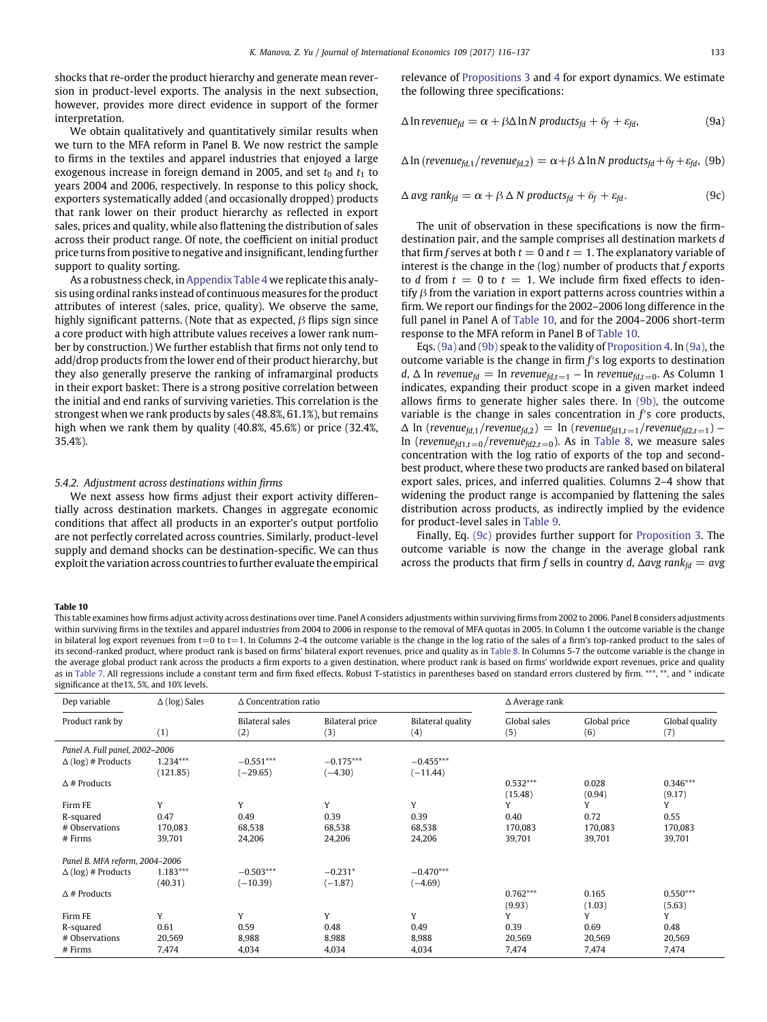shocks that re-order the product hierarchy and generate mean reversion in product-level exports. The analysis in the next subsection, however, provides more direct evidence in support of the former interpretation.

We obtain qualitatively and quantitatively similar results when we turn to the MFA reform in Panel B. We now restrict the sample to firms in the textiles and apparel industries that enjoyed a large exogenous increase in foreign demand in 2005, and set  $t_0$  and  $t_1$  to years 2004 and 2006, respectively. In response to this policy shock, exporters systematically added (and occasionally dropped) products that rank lower on their product hierarchy as reflected in export sales, prices and quality, while also flattening the distribution of sales across their product range. Of note, the coefficient on initial product price turns from positive to negative and insignificant, lending further support to quality sorting.

As a robustness check, in Appendix Table 4 we replicate this analysis using ordinal ranks instead of continuous measures for the product attributes of interest (sales, price, quality). We observe the same, highly significant patterns. (Note that as expected,  $\beta$  flips sign since a core product with high attribute values receives a lower rank number by construction.) We further establish that firms not only tend to add/drop products from the lower end of their product hierarchy, but they also generally preserve the ranking of inframarginal products in their export basket: There is a strong positive correlation between the initial and end ranks of surviving varieties. This correlation is the strongest when we rank products by sales (48.8%, 61.1%), but remains high when we rank them by quality (40.8%, 45.6%) or price (32.4%, 35.4%).

#### *5.4.2. Adjustment across destinations within firms*

We next assess how firms adjust their export activity differentially across destination markets. Changes in aggregate economic conditions that affect all products in an exporter's output portfolio are not perfectly correlated across countries. Similarly, product-level supply and demand shocks can be destination-specific. We can thus exploit the variation across countries to further evaluate the empirical relevance of [Propositions 3](#page-6-5) and [4](#page-6-1) for export dynamics. We estimate the following three specifications:

<span id="page-17-1"></span>
$$
\Delta \ln \text{revenue}_{fd} = \alpha + \beta \Delta \ln N \text{ products}_{fd} + \delta_f + \varepsilon_{fd}, \tag{9a}
$$

<span id="page-17-2"></span>
$$
\Delta \ln (revenue_{fd,1}/revenue_{fd,2}) = \alpha + \beta \Delta \ln N \text{ products}_{fd} + \delta_f + \varepsilon_{fd}, (9b)
$$

<span id="page-17-3"></span>
$$
\Delta \text{ avg } rank_{fd} = \alpha + \beta \Delta N \text{ products}_{fd} + \delta_f + \varepsilon_{fd}. \tag{9c}
$$

The unit of observation in these specifications is now the firmdestination pair, and the sample comprises all destination markets *d* that firm *f* serves at both  $t = 0$  and  $t = 1$ . The explanatory variable of interest is the change in the (log) number of products that *f* exports to *d* from  $t = 0$  to  $t = 1$ . We include firm fixed effects to identify  $\beta$  from the variation in export patterns across countries within a firm. We report our findings for the 2002–2006 long difference in the full panel in Panel A of [Table 10,](#page-17-0) and for the 2004–2006 short-term response to the MFA reform in Panel B of [Table 10.](#page-17-0)

Eqs. [\(9a\)](#page-17-1) and [\(9b\)](#page-17-2) speak to the validity of [Proposition 4.](#page-6-1) In [\(9a\),](#page-17-1) the outcome variable is the change in firm *f* s log exports to destination *d*,  $\Delta$  ln *revenue*<sub>*fd*</sub> = ln *revenue*<sub>*fd*,*t*=1</sub> − ln *revenue*<sub>*fd*,*t*=0</sub>. As Column 1 indicates, expanding their product scope in a given market indeed allows firms to generate higher sales there. In [\(9b\),](#page-17-2) the outcome variable is the change in sales concentration in  $f$ 's core products,  $\Delta$  ln (*revenue<sub>fd,1</sub>*/*revenue<sub>fd,2</sub>*) = ln (*revenue<sub>fd1,t=1</sub>*/*revenue<sub>fd2,t=1</sub>)* − ln (*revenue*<sub>fd1,t=0</sub>/*revenue*<sub>fd2,t=0</sub>). As in [Table 8,](#page-15-1) we measure sales concentration with the log ratio of exports of the top and secondbest product, where these two products are ranked based on bilateral export sales, prices, and inferred qualities. Columns 2–4 show that widening the product range is accompanied by flattening the sales distribution across products, as indirectly implied by the evidence for product-level sales in [Table 9.](#page-16-4)

Finally, Eq. [\(9c\)](#page-17-3) provides further support for [Proposition 3.](#page-6-5) The outcome variable is now the change in the average global rank across the products that firm *f* sells in country *d*,  $\Delta avg$  rank $f_d = avg$ 

#### <span id="page-17-0"></span>**Table 10**

This table examines how firms adjust activity across destinations over time. Panel A considers adjustments within surviving firms from 2002 to 2006. Panel B considers adjustments within surviving firms in the textiles and apparel industries from 2004 to 2006 in response to the removal of MFA quotas in 2005. In Column 1 the outcome variable is the change in bilateral log export revenues from  $t=0$  to  $t=1$ . In Columns 2-4 the outcome variable is the change in the log ratio of the sales of a firm's top-ranked product to the sales of its second-ranked product, where product rank is based on firms' bilateral export revenues, price and quality as in [Table 8.](#page-15-1) In Columns 5-7 the outcome variable is the change in the average global product rank across the products a firm exports to a given destination, where product rank is based on firms' worldwide export revenues, price and quality as in [Table 7.](#page-14-0) All regressions include a constant term and firm fixed effects. Robust T-statistics in parentheses based on standard errors clustered by firm. \*\*\*, \*\*, and \* indicate significance at the1%, 5%, and 10% levels.

| Dep variable                   | $\Delta$ (log) Sales   | $\Delta$ Concentration ratio |                               |                                 | $\Delta$ Average rank |                     |                       |
|--------------------------------|------------------------|------------------------------|-------------------------------|---------------------------------|-----------------------|---------------------|-----------------------|
| Product rank by                | (1)                    | Bilateral sales<br>(2)       | <b>Bilateral price</b><br>(3) | <b>Bilateral quality</b><br>(4) | Global sales<br>(5)   | Global price<br>(6) | Global quality<br>(7) |
| Panel A. Full panel, 2002-2006 |                        |                              |                               |                                 |                       |                     |                       |
| $\Delta$ (log) # Products      | $1.234***$<br>(121.85) | $-0.551***$<br>$(-29.65)$    | $-0.175***$<br>$(-4.30)$      | $-0.455***$<br>$(-11.44)$       |                       |                     |                       |
| $\Delta$ # Products            |                        |                              |                               |                                 | $0.532***$<br>(15.48) | 0.028<br>(0.94)     | $0.346***$<br>(9.17)  |
| Firm FE                        | Y                      | Y                            | Y                             | Y                               | Y                     | Υ                   | Y                     |
| R-squared                      | 0.47                   | 0.49                         | 0.39                          | 0.39                            | 0.40                  | 0.72                | 0.55                  |
| # Observations                 | 170,083                | 68,538                       | 68,538                        | 68,538                          | 170,083               | 170,083             | 170,083               |
| # Firms                        | 39,701                 | 24,206                       | 24,206                        | 24,206                          | 39,701                | 39,701              | 39,701                |
| Panel B. MFA reform, 2004-2006 |                        |                              |                               |                                 |                       |                     |                       |
| $\Delta$ (log) # Products      | $1.183***$             | $-0.503***$                  | $-0.231*$                     | $-0.470***$                     |                       |                     |                       |
|                                | (40.31)                | $(-10.39)$                   | $(-1.87)$                     | $(-4.69)$                       |                       |                     |                       |
| $\Delta$ # Products            |                        |                              |                               |                                 | $0.762***$            | 0.165               | $0.550***$            |
|                                |                        |                              |                               |                                 | (9.93)                | (1.03)              | (5.63)                |
| Firm FE                        | Y                      | Y                            | Y                             | Y                               | Y                     | Υ                   | Y                     |
| R-squared                      | 0.61                   | 0.59                         | 0.48                          | 0.49                            | 0.39                  | 0.69                | 0.48                  |
| # Observations                 | 20,569                 | 8,988                        | 8,988                         | 8,988                           | 20,569                | 20,569              | 20,569                |
| # Firms                        | 7,474                  | 4,034                        | 4,034                         | 4,034                           | 7,474                 | 7,474               | 7,474                 |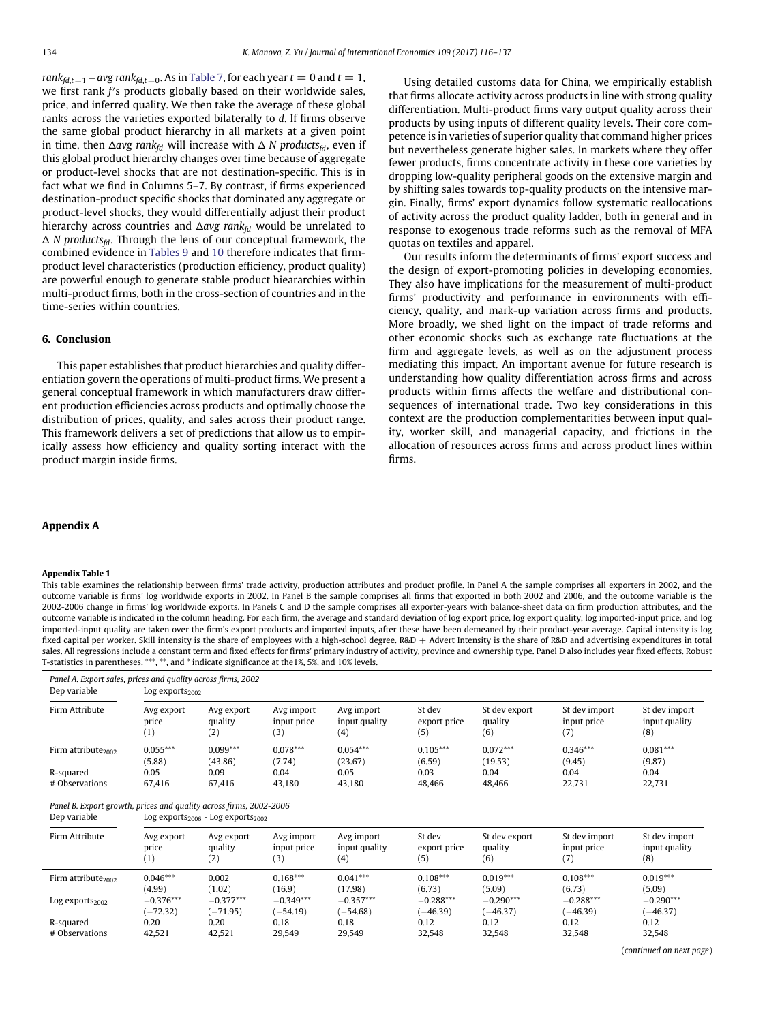$rank_{fd,t=1} - avg \ rank_{fd,t=0}$ . As in [Table 7,](#page-14-0) for each year  $t = 0$  and  $t = 1$ , we first rank f's products globally based on their worldwide sales, price, and inferred quality. We then take the average of these global ranks across the varieties exported bilaterally to *d*. If firms observe the same global product hierarchy in all markets at a given point in time, then  $\Delta avg$  *rank*<sup>*fd*</sup> will increase with  $\Delta N$  *products*<sup>*fd*</sup>, even if this global product hierarchy changes over time because of aggregate or product-level shocks that are not destination-specific. This is in fact what we find in Columns 5–7. By contrast, if firms experienced destination-product specific shocks that dominated any aggregate or product-level shocks, they would differentially adjust their product hierarchy across countries and  $\Delta avg$  rank<sub>fd</sub> would be unrelated to  $\Delta$  *N* products<sub>fd</sub>. Through the lens of our conceptual framework, the combined evidence in [Tables 9](#page-16-4) and [10](#page-17-0) therefore indicates that firmproduct level characteristics (production efficiency, product quality) are powerful enough to generate stable product hieararchies within multi-product firms, both in the cross-section of countries and in the time-series within countries.

# **6. Conclusion**

This paper establishes that product hierarchies and quality differentiation govern the operations of multi-product firms. We present a general conceptual framework in which manufacturers draw different production efficiencies across products and optimally choose the distribution of prices, quality, and sales across their product range. This framework delivers a set of predictions that allow us to empirically assess how efficiency and quality sorting interact with the product margin inside firms.

Using detailed customs data for China, we empirically establish that firms allocate activity across products in line with strong quality differentiation. Multi-product firms vary output quality across their products by using inputs of different quality levels. Their core competence is in varieties of superior quality that command higher prices but nevertheless generate higher sales. In markets where they offer fewer products, firms concentrate activity in these core varieties by dropping low-quality peripheral goods on the extensive margin and by shifting sales towards top-quality products on the intensive margin. Finally, firms' export dynamics follow systematic reallocations of activity across the product quality ladder, both in general and in response to exogenous trade reforms such as the removal of MFA quotas on textiles and apparel.

Our results inform the determinants of firms' export success and the design of export-promoting policies in developing economies. They also have implications for the measurement of multi-product firms' productivity and performance in environments with efficiency, quality, and mark-up variation across firms and products. More broadly, we shed light on the impact of trade reforms and other economic shocks such as exchange rate fluctuations at the firm and aggregate levels, as well as on the adjustment process mediating this impact. An important avenue for future research is understanding how quality differentiation across firms and across products within firms affects the welfare and distributional consequences of international trade. Two key considerations in this context are the production complementarities between input quality, worker skill, and managerial capacity, and frictions in the allocation of resources across firms and across product lines within firms.

# **Appendix A**

#### **Appendix Table 1**

This table examines the relationship between firms' trade activity, production attributes and product profile. In Panel A the sample comprises all exporters in 2002, and the outcome variable is firms' log worldwide exports in 2002. In Panel B the sample comprises all firms that exported in both 2002 and 2006, and the outcome variable is the 2002-2006 change in firms' log worldwide exports. In Panels C and D the sample comprises all exporter-years with balance-sheet data on firm production attributes, and the outcome variable is indicated in the column heading. For each firm, the average and standard deviation of log export price, log export quality, log imported-input price, and log imported-input quality are taken over the firm's export products and imported inputs, after these have been demeaned by their product-year average. Capital intensity is log fixed capital per worker. Skill intensity is the share of employees with a high-school degree. R&D + Advert Intensity is the share of R&D and advertising expenditures in total sales. All regressions include a constant term and fixed effects for firms' primary industry of activity, province and ownership type. Panel D also includes year fixed effects. Robust T-statistics in parentheses. \*\*\*, \*\*, and \* indicate significance at the1%, 5%, and 10% levels.

| Dep variable                                                       | Log exports $_{2002}$      |                                                                        |                                  |                                    |                               |                                 |                                     |                                       |
|--------------------------------------------------------------------|----------------------------|------------------------------------------------------------------------|----------------------------------|------------------------------------|-------------------------------|---------------------------------|-------------------------------------|---------------------------------------|
| Firm Attribute                                                     | Avg export<br>price<br>(1) | Avg export<br>quality<br>(2)                                           | Avg import<br>input price<br>(3) | Avg import<br>input quality<br>(4) | St dev<br>export price<br>(5) | St dev export<br>quality<br>(6) | St dev import<br>input price<br>(7) | St dev import<br>input quality<br>(8) |
| Firm attribute $2002$                                              | $0.055***$<br>(5.88)       | $0.099***$<br>(43.86)                                                  | $0.078***$<br>(7.74)             | $0.054***$<br>(23.67)              | $0.105***$<br>(6.59)          | $0.072***$<br>(19.53)           | $0.346***$<br>(9.45)                | $0.081***$<br>(9.87)                  |
| R-squared                                                          | 0.05                       | 0.09                                                                   | 0.04                             | 0.05                               | 0.03                          | 0.04                            | 0.04                                | 0.04                                  |
| # Observations                                                     | 67,416                     | 67,416                                                                 | 43,180                           | 43,180                             | 48,466                        | 48,466                          | 22,731                              | 22,731                                |
| Panel B. Export growth, prices and quality across firms, 2002-2006 |                            |                                                                        |                                  |                                    |                               |                                 |                                     |                                       |
| Dep variable<br>Firm Attribute                                     | Avg export<br>price        | Log exports $_{2006}$ - Log exports $_{2002}$<br>Avg export<br>quality | Avg import<br>input price        | Avg import<br>input quality        | St dev<br>export price        | St dev export<br>quality        | St dev import<br>input price        | St dev import<br>input quality        |
|                                                                    | (1)                        | (2)                                                                    | (3)                              | (4)                                | (5)                           | (6)                             | (7)                                 | (8)                                   |
| Firm attribute $_{2002}$                                           | $0.046***$<br>(4.99)       | 0.002<br>(1.02)                                                        | $0.168***$<br>(16.9)             | $0.041***$<br>(17.98)              | $0.108***$<br>(6.73)          | $0.019***$<br>(5.09)            | $0.108***$<br>(6.73)                | $0.019***$<br>(5.09)                  |
| $Log$ exports <sub>2002</sub>                                      | $-0.376***$<br>$(-72.32)$  | $-0.377***$<br>$(-71.95)$                                              | $-0.349***$<br>$(-54.19)$        | $-0.357***$<br>$(-54.68)$          | $-0.288***$<br>$(-46.39)$     | $-0.290***$<br>$(-46.37)$       | $-0.288***$<br>$(-46.39)$           | $-0.290***$<br>$(-46.37)$             |
| R-squared                                                          | 0.20                       | 0.20                                                                   | 0.18                             | 0.18                               | 0.12                          | 0.12                            | 0.12                                | 0.12                                  |

(*continued on next page*)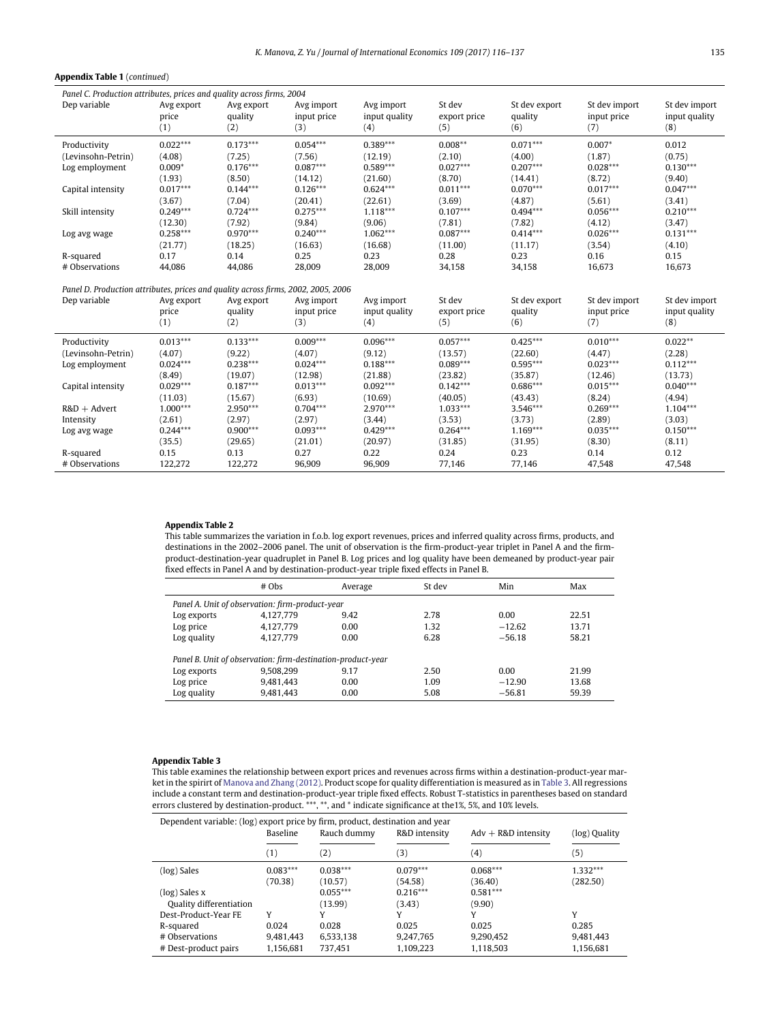### **Appendix Table 1** (*continued*)

| Panel C. Production attributes, prices and quality across firms, 2004             |                            |                              |                                  |                                    |                               |                                 |                                     |                                       |
|-----------------------------------------------------------------------------------|----------------------------|------------------------------|----------------------------------|------------------------------------|-------------------------------|---------------------------------|-------------------------------------|---------------------------------------|
| Dep variable                                                                      | Avg export<br>price<br>(1) | Avg export<br>quality<br>(2) | Avg import<br>input price<br>(3) | Avg import<br>input quality<br>(4) | St dev<br>export price<br>(5) | St dev export<br>quality<br>(6) | St dev import<br>input price<br>(7) | St dev import<br>input quality<br>(8) |
| Productivity                                                                      | $0.022***$                 | $0.173***$                   | $0.054***$                       | $0.389***$                         | $0.008**$                     | $0.071***$                      | $0.007*$                            | 0.012                                 |
| (Levinsohn-Petrin)                                                                | (4.08)                     | (7.25)                       | (7.56)                           | (12.19)                            | (2.10)                        | (4.00)                          | (1.87)                              | (0.75)                                |
| Log employment                                                                    | $0.009*$                   | $0.176***$                   | $0.087***$                       | $0.589***$                         | $0.027***$                    | $0.207***$                      | $0.028***$                          | $0.130***$                            |
|                                                                                   | (1.93)                     | (8.50)                       | (14.12)                          | (21.60)                            | (8.70)                        | (14.41)                         | (8.72)                              | (9.40)                                |
| Capital intensity                                                                 | $0.017***$                 | $0.144***$                   | $0.126***$                       | $0.624***$                         | $0.011***$                    | $0.070***$                      | $0.017***$                          | $0.047***$                            |
|                                                                                   | (3.67)                     | (7.04)                       | (20.41)                          | (22.61)                            | (3.69)                        | (4.87)                          | (5.61)                              | (3.41)                                |
| Skill intensity                                                                   | $0.249***$                 | $0.724***$                   | $0.275***$                       | $1.118***$                         | $0.107***$                    | $0.494***$                      | $0.056***$                          | $0.210***$                            |
|                                                                                   | (12.30)                    | (7.92)                       | (9.84)                           | (9.06)                             | (7.81)                        | (7.82)                          | (4.12)                              | (3.47)                                |
| Log avg wage                                                                      | $0.258***$                 | $0.970***$                   | $0.240***$                       | $1.062***$                         | $0.087***$                    | $0.414***$                      | $0.026***$                          | $0.131***$                            |
| R-squared                                                                         | (21.77)<br>0.17            | (18.25)<br>0.14              | (16.63)<br>0.25                  | (16.68)<br>0.23                    | (11.00)<br>0.28               | (11.17)<br>0.23                 | (3.54)<br>0.16                      | (4.10)<br>0.15                        |
| # Observations                                                                    | 44,086                     | 44,086                       | 28,009                           | 28,009                             | 34,158                        | 34,158                          | 16,673                              | 16,673                                |
|                                                                                   |                            |                              |                                  |                                    |                               |                                 |                                     |                                       |
| Panel D. Production attributes, prices and quality across firms, 2002, 2005, 2006 |                            |                              |                                  |                                    |                               |                                 |                                     |                                       |
| Dep variable                                                                      | Avg export                 | Avg export                   | Avg import                       | Avg import                         | St dev                        | St dev export                   | St dev import                       | St dev import                         |
|                                                                                   | price                      | quality                      | input price                      | input quality                      | export price                  | quality                         | input price                         | input quality                         |
|                                                                                   | (1)                        | (2)                          | (3)                              | (4)                                | (5)                           | (6)                             | (7)                                 | (8)                                   |
| Productivity                                                                      | $0.013***$                 | $0.133***$                   | $0.009***$                       | $0.096***$                         | $0.057***$                    | $0.425***$                      | $0.010***$                          | $0.022**$                             |
| (Levinsohn-Petrin)                                                                | (4.07)                     | (9.22)                       | (4.07)                           | (9.12)                             | (13.57)                       | (22.60)                         | (4.47)                              | (2.28)                                |
| Log employment                                                                    | $0.024***$                 | $0.238***$                   | $0.024***$                       | $0.188***$                         | $0.089***$                    | $0.595***$                      | $0.023***$                          | $0.112***$                            |
|                                                                                   | (8.49)                     | (19.07)                      | (12.98)                          | (21.88)                            | (23.82)                       | (35.87)                         | (12.46)                             | (13.73)                               |
| Capital intensity                                                                 | $0.029***$                 | $0.187***$                   | $0.013***$                       | $0.092***$                         | $0.142***$                    | $0.686***$                      | $0.015***$                          | $0.040***$                            |
|                                                                                   | (11.03)                    | (15.67)                      | (6.93)                           | (10.69)                            | (40.05)                       | (43.43)                         | (8.24)                              | (4.94)                                |
| $R&D +$ Advert                                                                    | $1.000***$                 | 2.950***                     | $0.704***$                       | $2.970***$                         | $1.033***$                    | 3.546***                        | $0.269***$                          | $1.104***$                            |
| Intensity                                                                         | (2.61)                     | (2.97)                       | (2.97)                           | (3.44)                             | (3.53)                        | (3.73)                          | (2.89)                              | (3.03)                                |
| Log avg wage                                                                      | $0.244***$                 | $0.900***$                   | $0.093***$                       | $0.429***$                         | $0.264***$                    | $1.169***$                      | $0.035***$                          | $0.150***$                            |
|                                                                                   | (35.5)                     | (29.65)                      | (21.01)<br>0.27                  | (20.97)                            | (31.85)                       | (31.95)                         | (8.30)                              | (8.11)                                |
| R-squared<br># Observations                                                       | 0.15<br>122,272            | 0.13<br>122,272              | 96,909                           | 0.22<br>96,909                     | 0.24<br>77,146                | 0.23<br>77,146                  | 0.14<br>47,548                      | 0.12<br>47,548                        |
|                                                                                   |                            |                              |                                  |                                    |                               |                                 |                                     |                                       |

#### **Appendix Table 2**

 $\overline{a}$ 

This table summarizes the variation in f.o.b. log export revenues, prices and inferred quality across firms, products, and destinations in the 2002–2006 panel. The unit of observation is the firm-product-year triplet in Panel A and the firmproduct-destination-year quadruplet in Panel B. Log prices and log quality have been demeaned by product-year pair fixed effects in Panel A and by destination-product-year triple fixed effects in Panel B.

|                                                             | $#$ Obs   | Average | St dev | Min      | Max   |  |  |  |  |
|-------------------------------------------------------------|-----------|---------|--------|----------|-------|--|--|--|--|
| Panel A. Unit of observation: firm-product-year             |           |         |        |          |       |  |  |  |  |
| Log exports                                                 | 4.127.779 | 9.42    | 2.78   | 0.00     | 22.51 |  |  |  |  |
| Log price                                                   | 4.127.779 | 0.00    | 1.32   | $-12.62$ | 13.71 |  |  |  |  |
| Log quality                                                 | 4.127.779 | 0.00    | 6.28   | $-56.18$ | 58.21 |  |  |  |  |
| Panel B. Unit of observation: firm-destination-product-year |           |         |        |          |       |  |  |  |  |
| Log exports                                                 | 9.508.299 | 9.17    | 2.50   | 0.00     | 21.99 |  |  |  |  |
| Log price                                                   | 9.481.443 | 0.00    | 1.09   | $-12.90$ | 13.68 |  |  |  |  |
| Log quality                                                 | 9,481,443 | 0.00    | 5.08   | $-56.81$ | 59.39 |  |  |  |  |

# **Appendix Table 3**

This table examines the relationship between export prices and revenues across firms within a destination-product-year market in the spirirt of [Manova and Zhang \(2012\).](#page-21-27) Product scope for quality differentiation is measured as in [Table 3.](#page-9-0) All regressions include a constant term and destination-product-year triple fixed effects. Robust T-statistics in parentheses based on standard errors clustered by destination-product. \*\*\*, \*\*, and \* indicate significance at the1%, 5%, and 10% levels.

| Dependent variable: (log) export price by firm, product, destination and year |                        |                       |                        |                        |                        |  |  |
|-------------------------------------------------------------------------------|------------------------|-----------------------|------------------------|------------------------|------------------------|--|--|
|                                                                               | Baseline               | Rauch dummy           | R&D intensity          | $Adv + R&D$ intensity  | (log) Quality          |  |  |
|                                                                               | (1)                    | (2)                   | (3)                    | $^{(4)}$               | (5)                    |  |  |
| (log) Sales                                                                   | $0.083***$<br>(70.38)  | $0.038***$<br>(10.57) | $0.079***$<br>(54.58)  | $0.068***$<br>(36.40)  | $1.332***$<br>(282.50) |  |  |
| (log) Sales x<br>Quality differentiation                                      |                        | $0.055***$<br>(13.99) | $0.216***$<br>(3.43)   | $0.581***$<br>(9.90)   |                        |  |  |
| Dest-Product-Year FE                                                          | Y                      |                       | γ                      |                        | v                      |  |  |
| R-squared                                                                     | 0.024                  | 0.028                 | 0.025                  | 0.025                  | 0.285                  |  |  |
| # Observations<br># Dest-product pairs                                        | 9,481,443<br>1,156,681 | 6,533,138<br>737.451  | 9,247,765<br>1.109.223 | 9,290,452<br>1,118,503 | 9,481,443<br>1,156,681 |  |  |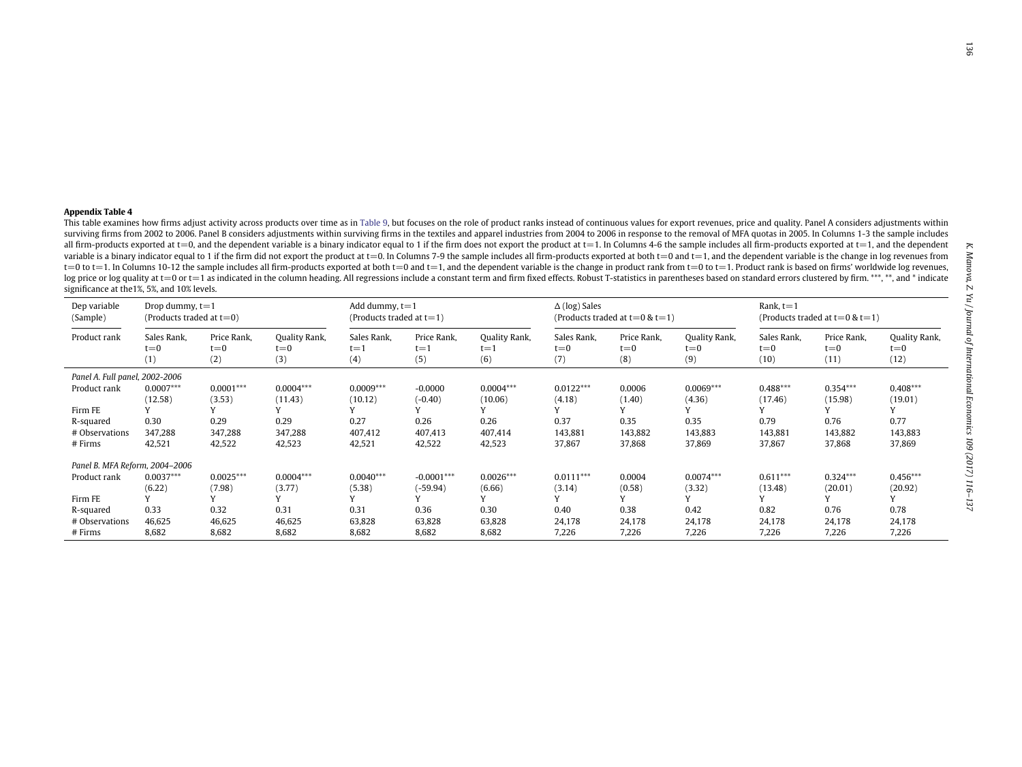| Appendix Table 4                            |                                                  |             |                                                                                                                                                                                                                                                                                                                                                                                                                                                                  |             |                                     |               |                      |                                     |               |             |             |               |
|---------------------------------------------|--------------------------------------------------|-------------|------------------------------------------------------------------------------------------------------------------------------------------------------------------------------------------------------------------------------------------------------------------------------------------------------------------------------------------------------------------------------------------------------------------------------------------------------------------|-------------|-------------------------------------|---------------|----------------------|-------------------------------------|---------------|-------------|-------------|---------------|
|                                             |                                                  |             | This table examines how firms adjust activity across products over time as in Table 9, but focuses on the role of product ranks instead of continuous values for export revenues, price and quality. Panel A considers adjustm                                                                                                                                                                                                                                   |             |                                     |               |                      |                                     |               |             |             |               |
|                                             |                                                  |             | surviving firms from 2002 to 2006. Panel B considers adjustments within surviving firms in the textiles and apparel industries from 2004 to 2006 in response to the removal of MFA quotas in 2005. In Columns 1-3 the sample i                                                                                                                                                                                                                                   |             |                                     |               |                      |                                     |               |             |             |               |
|                                             |                                                  |             | all firm-products exported at t=0, and the dependent variable is a binary indicator equal to 1 if the firm does not export the product at t=1. In Columns 4-6 the sample includes all firm-products exported at t=1, and the                                                                                                                                                                                                                                     |             |                                     |               |                      |                                     |               |             |             |               |
|                                             |                                                  |             | variable is a binary indicator equal to 1 if the firm did not export the product at t=0. In Columns 7-9 the sample includes all firm-products exported at both t=0 and t=1, and the dependent variable is the change in log r                                                                                                                                                                                                                                    |             |                                     |               |                      |                                     |               |             |             |               |
|                                             |                                                  |             | t=0 to t=1. In Columns 10-12 the sample includes all firm-products exported at both t=0 and t=1, and the dependent variable is the change in product rank from t=0 to t=1. Product rank is based on firms' worldwide log reven<br>log price or log quality at t=0 or t=1 as indicated in the column heading. All regressions include a constant term and firm fixed effects. Robust T-statistics in parentheses based on standard errors clustered by firm. ***, |             |                                     |               |                      |                                     |               |             |             |               |
| significance at the 1%, 5%, and 10% levels. |                                                  |             |                                                                                                                                                                                                                                                                                                                                                                                                                                                                  |             |                                     |               |                      |                                     |               |             |             |               |
| Dep variable                                |                                                  |             |                                                                                                                                                                                                                                                                                                                                                                                                                                                                  |             |                                     |               | $\Delta$ (log) Sales |                                     |               | Rank. $t=1$ |             |               |
| (Sample)                                    | Drop dummy, $t=1$<br>(Products traded at $t=0$ ) |             | Add dummy, $t=1$<br>(Products traded at $t=1$ )                                                                                                                                                                                                                                                                                                                                                                                                                  |             | (Products traded at $t=0$ & $t=1$ ) |               |                      | (Products traded at $t=0$ & $t=1$ ) |               |             |             |               |
| Product rank                                | Sales Rank,                                      | Price Rank, | Quality Rank,                                                                                                                                                                                                                                                                                                                                                                                                                                                    | Sales Rank, | Price Rank,                         | Quality Rank, | Sales Rank,          | Price Rank,                         | Quality Rank, | Sales Rank, | Price Rank, | Quality Rank, |
|                                             | $t = 0$                                          | $t=0$       | $t = 0$                                                                                                                                                                                                                                                                                                                                                                                                                                                          | $t = 1$     | $t = 1$                             | $t = 1$       | $t = 0$              | $t = 0$                             | $t = 0$       | $t = 0$     | $t = 0$     | $t = 0$       |
|                                             | (1)                                              | (2)         | (3)                                                                                                                                                                                                                                                                                                                                                                                                                                                              | (4)         | (5)                                 | (6)           | (7)                  | (8)                                 | (9)           | (10)        | (11)        | (12)          |
| Panel A. Full panel, 2002-2006              |                                                  |             |                                                                                                                                                                                                                                                                                                                                                                                                                                                                  |             |                                     |               |                      |                                     |               |             |             |               |
| Product rank                                | $0.0007***$                                      | $0.0001***$ | $0.0004***$                                                                                                                                                                                                                                                                                                                                                                                                                                                      | $0.0009***$ | $-0.0000$                           | $0.0004***$   | $0.0122***$          | 0.0006                              | $0.0069***$   | $0.488***$  | $0.354***$  | $0.408***$    |
|                                             | (12.58)                                          | (3.53)      | (11.43)                                                                                                                                                                                                                                                                                                                                                                                                                                                          | (10.12)     | $(-0.40)$                           | (10.06)       | (4.18)               | (1.40)                              | (4.36)        | (17.46)     | (15.98)     | (19.01)       |
| Firm FE                                     |                                                  |             |                                                                                                                                                                                                                                                                                                                                                                                                                                                                  |             |                                     |               |                      |                                     |               |             |             |               |
| R-squared                                   | 0.30                                             | 0.29        | 0.29                                                                                                                                                                                                                                                                                                                                                                                                                                                             | 0.27        | 0.26                                | 0.26          | 0.37                 | 0.35                                | 0.35          | 0.79        | 0.76        | 0.77          |
| # Observations                              | 347.288                                          | 347.288     | 347.288                                                                                                                                                                                                                                                                                                                                                                                                                                                          | 407.412     | 407.413                             | 407.414       | 143.881              | 143.882                             | 143.883       | 143.881     | 143.882     | 143.883       |
| $#$ Firms                                   | 42,521                                           | 42,522      | 42,523                                                                                                                                                                                                                                                                                                                                                                                                                                                           | 42,521      | 42.522                              | 42.523        | 37,867               | 37.868                              | 37,869        | 37,867      | 37,868      | 37.869        |
| Panel B. MFA Reform, 2004-2006              |                                                  |             |                                                                                                                                                                                                                                                                                                                                                                                                                                                                  |             |                                     |               |                      |                                     |               |             |             |               |
| Product rank                                | $0.0037***$                                      | $0.0025***$ | $0.0004***$                                                                                                                                                                                                                                                                                                                                                                                                                                                      | $0.0040***$ | $-0.0001***$                        | $0.0026***$   | $0.0111***$          | 0.0004                              | $0.0074***$   | $0.611***$  | $0.324***$  | $0.456***$    |
|                                             | (6.22)                                           | (7.98)      | (3.77)                                                                                                                                                                                                                                                                                                                                                                                                                                                           | (5.38)      | $(-59.94)$                          | (6.66)        | (3.14)               | (0.58)                              | (3.32)        | (13.48)     | (20.01)     | (20.92)       |
| Firm FE                                     |                                                  |             |                                                                                                                                                                                                                                                                                                                                                                                                                                                                  |             |                                     |               |                      |                                     |               |             |             |               |
| R-squared                                   | 0.33                                             | 0.32        | 0.31                                                                                                                                                                                                                                                                                                                                                                                                                                                             | 0.31        | 0.36                                | 0.30          | 0.40                 | 0.38                                | 0.42          | 0.82        | 0.76        | 0.78          |
| # Observations                              | 46,625                                           | 46,625      | 46,625                                                                                                                                                                                                                                                                                                                                                                                                                                                           | 63,828      | 63,828                              | 63,828        | 24,178               | 24,178                              | 24,178        | 24,178      | 24,178      | 24,178        |
| $#$ Firms                                   | 8,682                                            | 8,682       | 8,682                                                                                                                                                                                                                                                                                                                                                                                                                                                            | 8,682       | 8,682                               | 8.682         | 7,226                | 7,226                               | 7,226         | 7,226       | 7,226       | 7,226         |